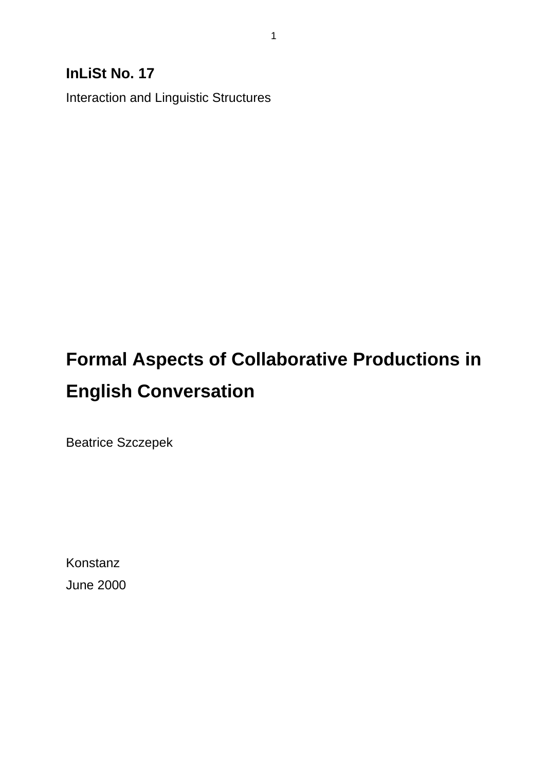# **InLiSt No. 17**

Interaction and Linguistic Structures

# **Formal Aspects of Collaborative Productions in English Conversation**

Beatrice Szczepek

Konstanz June 2000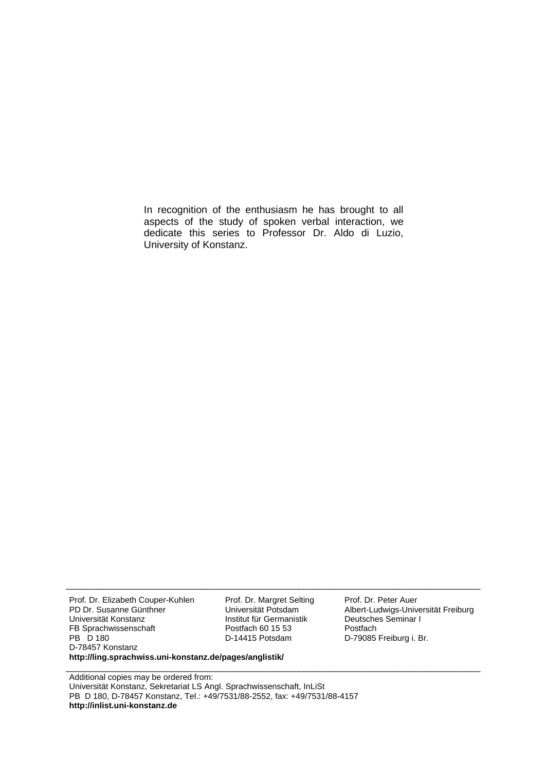In recognition of the enthusiasm he has brought to all aspects of the study of spoken verbal interaction, we dedicate this series to Professor Dr. Aldo di Luzio, University of Konstanz.

\_\_\_\_\_\_\_\_\_\_\_\_\_\_\_\_\_\_\_\_\_\_\_\_\_\_\_\_\_\_\_\_\_\_\_\_\_\_\_\_\_\_\_\_\_\_\_\_\_\_\_\_\_\_\_\_\_\_\_\_\_\_\_\_\_\_\_\_\_\_\_\_\_\_\_\_\_\_\_\_\_\_

\_\_\_\_\_\_\_\_\_\_\_\_\_\_\_\_\_\_\_\_\_\_\_\_\_\_\_\_\_\_\_\_\_\_\_\_\_\_\_\_\_\_\_\_\_\_\_\_\_\_\_\_\_\_\_\_\_\_\_\_\_\_\_\_\_\_\_\_\_\_\_\_\_\_\_\_\_\_\_\_\_\_

Prof. Dr. Elizabeth Couper-Kuhlen PD Dr. Susanne Günthner Universität Konstanz FB Sprachwissenschaft PB D 180 D-78457 Konstanz Prof. Dr. Margret Selting Universität Potsdam Institut für Germanistik Postfach 60 15 53 D-14415 Potsdam **http://ling.sprachwiss.uni-konstanz.de/pages/anglistik/**

Prof. Dr. Peter Auer Albert-Ludwigs-Universität Freiburg Deutsches Seminar I Postfach D-79085 Freiburg i. Br.

Additional copies may be ordered from: Universität Konstanz, Sekretariat LS Angl. Sprachwissenschaft, InLiSt PB D 180, D-78457 Konstanz, Tel.: +49/7531/88-2552, fax: +49/7531/88-4157 **http://inlist.uni-konstanz.de**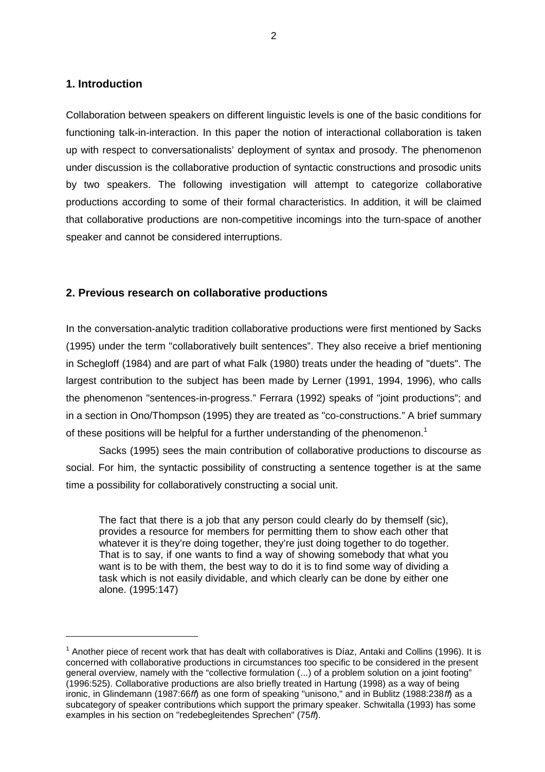#### **1. Introduction**

Collaboration between speakers on different linguistic levels is one of the basic conditions for functioning talk-in-interaction. In this paper the notion of interactional collaboration is taken up with respect to conversationalists' deployment of syntax and prosody. The phenomenon under discussion is the collaborative production of syntactic constructions and prosodic units by two speakers. The following investigation will attempt to categorize collaborative productions according to some of their formal characteristics. In addition, it will be claimed that collaborative productions are non-competitive incomings into the turn-space of another speaker and cannot be considered interruptions.

## **2. Previous research on collaborative productions**

In the conversation-analytic tradition collaborative productions were first mentioned by Sacks (1995) under the term "collaboratively built sentences". They also receive a brief mentioning in Schegloff (1984) and are part of what Falk (1980) treats under the heading of "duets". The largest contribution to the subject has been made by Lerner (1991, 1994, 1996), who calls the phenomenon "sentences-in-progress." Ferrara (1992) speaks of "joint productions"; and in a section in Ono/Thompson (1995) they are treated as "co-constructions." A brief summary of these positions will be helpful for a further understanding of the phenomenon.<sup>1</sup>

Sacks (1995) sees the main contribution of collaborative productions to discourse as social. For him, the syntactic possibility of constructing a sentence together is at the same time a possibility for collaboratively constructing a social unit.

The fact that there is a job that any person could clearly do by themself (sic), provides a resource for members for permitting them to show each other that whatever it is they're doing together, they're just doing together to do together. That is to say, if one wants to find a way of showing somebody that what you want is to be with them, the best way to do it is to find some way of dividing a task which is not easily dividable, and which clearly can be done by either one alone. (1995:147)

 $1$  Another piece of recent work that has dealt with collaboratives is Díaz, Antaki and Collins (1996). It is concerned with collaborative productions in circumstances too specific to be considered in the present general overview, namely with the "collective formulation (...) of a problem solution on a joint footing" (1996:525). Collaborative productions are also briefly treated in Hartung (1998) as a way of being ironic, in Glindemann (1987:66ff) as one form of speaking "unisono," and in Bublitz (1988:238ff) as a subcategory of speaker contributions which support the primary speaker. Schwitalla (1993) has some examples in his section on "redebegleitendes Sprechen" (75ff).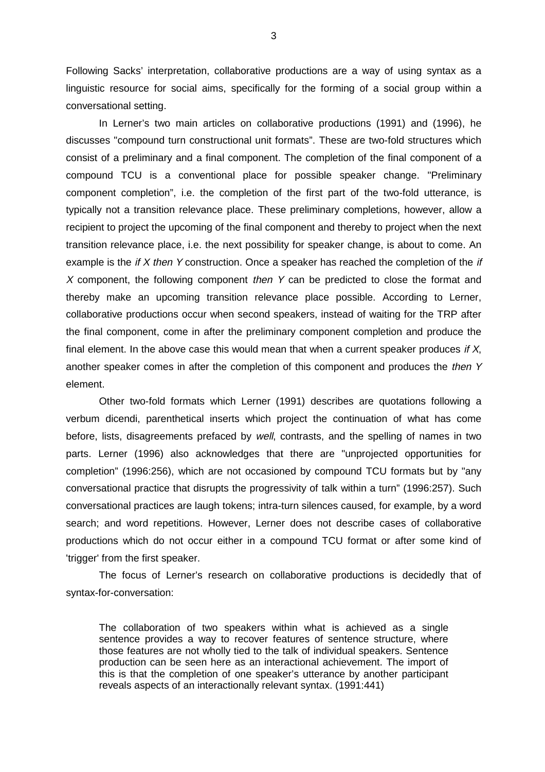Following Sacks' interpretation, collaborative productions are a way of using syntax as a linguistic resource for social aims, specifically for the forming of a social group within a conversational setting.

In Lerner's two main articles on collaborative productions (1991) and (1996), he discusses "compound turn constructional unit formats". These are two-fold structures which consist of a preliminary and a final component. The completion of the final component of a compound TCU is a conventional place for possible speaker change. "Preliminary component completion", i.e. the completion of the first part of the two-fold utterance, is typically not a transition relevance place. These preliminary completions, however, allow a recipient to project the upcoming of the final component and thereby to project when the next transition relevance place, i.e. the next possibility for speaker change, is about to come. An example is the if  $X$  then  $Y$  construction. Once a speaker has reached the completion of the if  $X$  component, the following component then  $Y$  can be predicted to close the format and thereby make an upcoming transition relevance place possible. According to Lerner, collaborative productions occur when second speakers, instead of waiting for the TRP after the final component, come in after the preliminary component completion and produce the final element. In the above case this would mean that when a current speaker produces if  $X$ , another speaker comes in after the completion of this component and produces the then Y element.

Other two-fold formats which Lerner (1991) describes are quotations following a verbum dicendi, parenthetical inserts which project the continuation of what has come before, lists, disagreements prefaced by well, contrasts, and the spelling of names in two parts. Lerner (1996) also acknowledges that there are "unprojected opportunities for completion" (1996:256), which are not occasioned by compound TCU formats but by "any conversational practice that disrupts the progressivity of talk within a turn" (1996:257). Such conversational practices are laugh tokens; intra-turn silences caused, for example, by a word search; and word repetitions. However, Lerner does not describe cases of collaborative productions which do not occur either in a compound TCU format or after some kind of 'trigger' from the first speaker.

The focus of Lerner's research on collaborative productions is decidedly that of syntax-for-conversation:

The collaboration of two speakers within what is achieved as a single sentence provides a way to recover features of sentence structure, where those features are not wholly tied to the talk of individual speakers. Sentence production can be seen here as an interactional achievement. The import of this is that the completion of one speaker's utterance by another participant reveals aspects of an interactionally relevant syntax. (1991:441)

3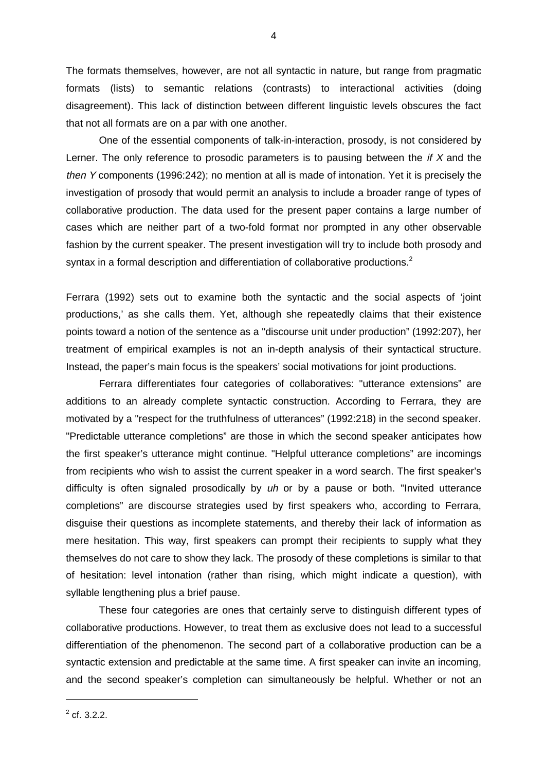The formats themselves, however, are not all syntactic in nature, but range from pragmatic formats (lists) to semantic relations (contrasts) to interactional activities (doing disagreement). This lack of distinction between different linguistic levels obscures the fact that not all formats are on a par with one another.

One of the essential components of talk-in-interaction, prosody, is not considered by Lerner. The only reference to prosodic parameters is to pausing between the  $if X$  and the then Y components (1996:242); no mention at all is made of intonation. Yet it is precisely the investigation of prosody that would permit an analysis to include a broader range of types of collaborative production. The data used for the present paper contains a large number of cases which are neither part of a two-fold format nor prompted in any other observable fashion by the current speaker. The present investigation will try to include both prosody and syntax in a formal description and differentiation of collaborative productions.<sup>2</sup>

Ferrara (1992) sets out to examine both the syntactic and the social aspects of 'joint productions,' as she calls them. Yet, although she repeatedly claims that their existence points toward a notion of the sentence as a "discourse unit under production" (1992:207), her treatment of empirical examples is not an in-depth analysis of their syntactical structure. Instead, the paper's main focus is the speakers' social motivations for joint productions.

Ferrara differentiates four categories of collaboratives: "utterance extensions" are additions to an already complete syntactic construction. According to Ferrara, they are motivated by a "respect for the truthfulness of utterances" (1992:218) in the second speaker. "Predictable utterance completions" are those in which the second speaker anticipates how the first speaker's utterance might continue. "Helpful utterance completions" are incomings from recipients who wish to assist the current speaker in a word search. The first speaker's difficulty is often signaled prosodically by uh or by a pause or both. "Invited utterance completions" are discourse strategies used by first speakers who, according to Ferrara, disguise their questions as incomplete statements, and thereby their lack of information as mere hesitation. This way, first speakers can prompt their recipients to supply what they themselves do not care to show they lack. The prosody of these completions is similar to that of hesitation: level intonation (rather than rising, which might indicate a question), with syllable lengthening plus a brief pause.

These four categories are ones that certainly serve to distinguish different types of collaborative productions. However, to treat them as exclusive does not lead to a successful differentiation of the phenomenon. The second part of a collaborative production can be a syntactic extension and predictable at the same time. A first speaker can invite an incoming, and the second speaker's completion can simultaneously be helpful. Whether or not an

 $2^2$  cf. 3.2.2.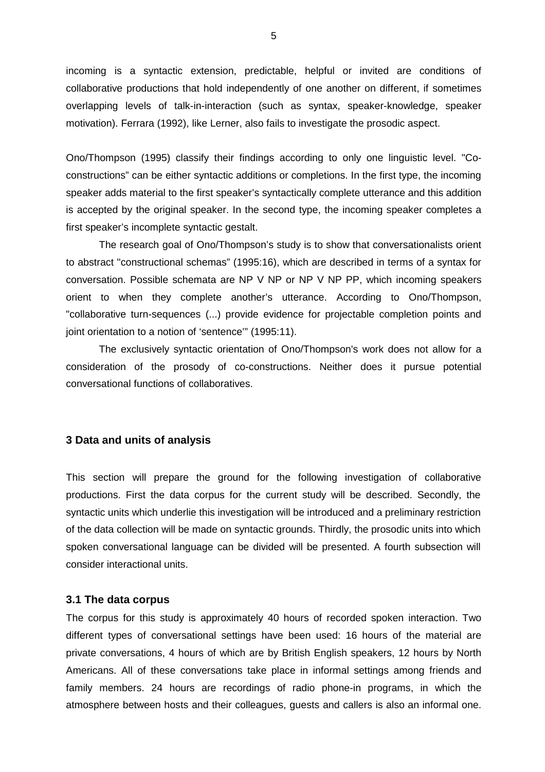incoming is a syntactic extension, predictable, helpful or invited are conditions of collaborative productions that hold independently of one another on different, if sometimes overlapping levels of talk-in-interaction (such as syntax, speaker-knowledge, speaker motivation). Ferrara (1992), like Lerner, also fails to investigate the prosodic aspect.

Ono/Thompson (1995) classify their findings according to only one linguistic level. "Coconstructions" can be either syntactic additions or completions. In the first type, the incoming speaker adds material to the first speaker's syntactically complete utterance and this addition is accepted by the original speaker. In the second type, the incoming speaker completes a first speaker's incomplete syntactic gestalt.

The research goal of Ono/Thompson's study is to show that conversationalists orient to abstract "constructional schemas" (1995:16), which are described in terms of a syntax for conversation. Possible schemata are NP V NP or NP V NP PP, which incoming speakers orient to when they complete another's utterance. According to Ono/Thompson, "collaborative turn-sequences (...) provide evidence for projectable completion points and joint orientation to a notion of 'sentence'" (1995:11).

 The exclusively syntactic orientation of Ono/Thompson's work does not allow for a consideration of the prosody of co-constructions. Neither does it pursue potential conversational functions of collaboratives.

## **3 Data and units of analysis**

This section will prepare the ground for the following investigation of collaborative productions. First the data corpus for the current study will be described. Secondly, the syntactic units which underlie this investigation will be introduced and a preliminary restriction of the data collection will be made on syntactic grounds. Thirdly, the prosodic units into which spoken conversational language can be divided will be presented. A fourth subsection will consider interactional units.

#### **3.1 The data corpus**

The corpus for this study is approximately 40 hours of recorded spoken interaction. Two different types of conversational settings have been used: 16 hours of the material are private conversations, 4 hours of which are by British English speakers, 12 hours by North Americans. All of these conversations take place in informal settings among friends and family members. 24 hours are recordings of radio phone-in programs, in which the atmosphere between hosts and their colleagues, guests and callers is also an informal one.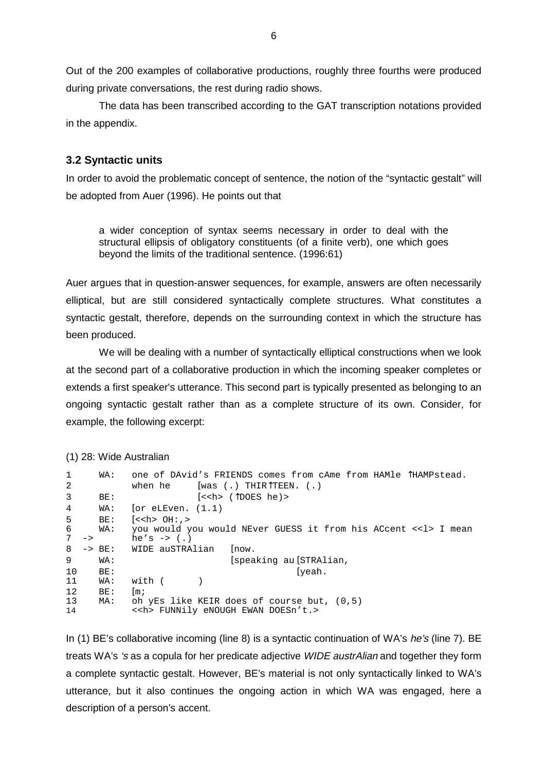Out of the 200 examples of collaborative productions, roughly three fourths were produced during private conversations, the rest during radio shows.

The data has been transcribed according to the GAT transcription notations provided in the appendix.

## **3.2 Syntactic units**

In order to avoid the problematic concept of sentence, the notion of the "syntactic gestalt" will be adopted from Auer (1996). He points out that

a wider conception of syntax seems necessary in order to deal with the structural ellipsis of obligatory constituents (of a finite verb), one which goes beyond the limits of the traditional sentence. (1996:61)

Auer argues that in question-answer sequences, for example, answers are often necessarily elliptical, but are still considered syntactically complete structures. What constitutes a syntactic gestalt, therefore, depends on the surrounding context in which the structure has been produced.

We will be dealing with a number of syntactically elliptical constructions when we look at the second part of a collaborative production in which the incoming speaker completes or extends a first speaker's utterance. This second part is typically presented as belonging to an ongoing syntactic gestalt rather than as a complete structure of its own. Consider, for example, the following excerpt:

```
(1) 28: Wide Australian
```

| $\mathbf{1}$    | WA:      | one of DAvid's FRIENDS comes from cAme from HAMle THAMPstead.   |            |
|-----------------|----------|-----------------------------------------------------------------|------------|
| 2               |          | [was (.) THIR $\hat{T}$ TEEN. (.)<br>when he                    |            |
| 3               | BE:      | $\left[ \langle \langle \rangle \rangle \right]$ (TDOES he) >   |            |
| 4               | WA:      | $ or$ eLEven. $(1.1)$                                           |            |
| 5               | BE:      | $\left[ \text{} \space 0$ H: $\text{>}$                         | } \space 0 |
| 6               | WA:      | you would you would NEver GUESS it from his ACcent << l> I mean |            |
| $7 \rightarrow$ |          | he's $\rightarrow$ (.)                                          |            |
| 8               | $-> BE:$ | WIDE auSTRAlian<br> now.                                        |            |
| 9               | WA:      | [speaking au [STRAlian,                                         |            |
| 10              | BE:      | [yeah.                                                          |            |
| 11              | WA:      | with (                                                          |            |
| 12              | BE:      | $\mathop{\rm Im} i$                                             |            |
| 13              | MA:      | oh yEs like KEIR does of course but, (0,5)                      |            |
| 14              |          | < <h> FUNNily eNOUGH EWAN DOESn't.&gt;</h>                      |            |

In (1) BE's collaborative incoming (line 8) is a syntactic continuation of WA's he's (line 7). BE treats WA's 's as a copula for her predicate adjective WIDE austrAlian and together they form a complete syntactic gestalt. However, BE's material is not only syntactically linked to WA's utterance, but it also continues the ongoing action in which WA was engaged, here a description of a person's accent.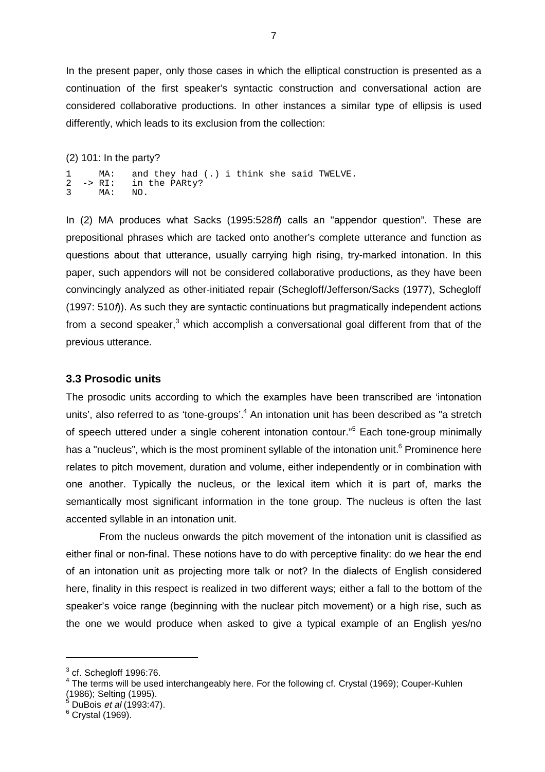In the present paper, only those cases in which the elliptical construction is presented as a continuation of the first speaker's syntactic construction and conversational action are considered collaborative productions. In other instances a similar type of ellipsis is used differently, which leads to its exclusion from the collection:

#### (2) 101: In the party?

1 MA: and they had (.) i think she said TWELVE.<br>2 -> RI: in the PARty? in the PARty? 3 MA: NO.

In (2) MA produces what Sacks (1995:528ff) calls an "appendor question". These are prepositional phrases which are tacked onto another's complete utterance and function as questions about that utterance, usually carrying high rising, try-marked intonation. In this paper, such appendors will not be considered collaborative productions, as they have been convincingly analyzed as other-initiated repair (Schegloff/Jefferson/Sacks (1977), Schegloff (1997: 510f)). As such they are syntactic continuations but pragmatically independent actions from a second speaker,<sup>3</sup> which accomplish a conversational goal different from that of the previous utterance.

#### **3.3 Prosodic units**

The prosodic units according to which the examples have been transcribed are 'intonation units', also referred to as 'tone-groups'.<sup>4</sup> An intonation unit has been described as "a stretch of speech uttered under a single coherent intonation contour."<sup>5</sup> Each tone-group minimally has a "nucleus", which is the most prominent syllable of the intonation unit.<sup>6</sup> Prominence here relates to pitch movement, duration and volume, either independently or in combination with one another. Typically the nucleus, or the lexical item which it is part of, marks the semantically most significant information in the tone group. The nucleus is often the last accented syllable in an intonation unit.

From the nucleus onwards the pitch movement of the intonation unit is classified as either final or non-final. These notions have to do with perceptive finality: do we hear the end of an intonation unit as projecting more talk or not? In the dialects of English considered here, finality in this respect is realized in two different ways; either a fall to the bottom of the speaker's voice range (beginning with the nuclear pitch movement) or a high rise, such as the one we would produce when asked to give a typical example of an English yes/no

 $\overline{a}$ 

 $^3$  cf. Schegloff 1996:76.

<sup>&</sup>lt;sup>4</sup> The terms will be used interchangeably here. For the following cf. Crystal (1969); Couper-Kuhlen (1986); Selting (1995).<br><sup>5</sup> DuBois *et al* (1993:47).

 $^6$  Crystal (1969).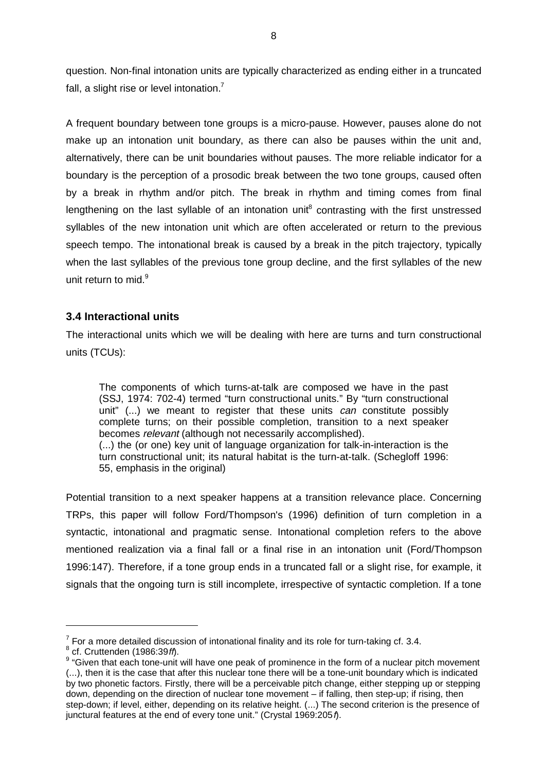question. Non-final intonation units are typically characterized as ending either in a truncated fall, a slight rise or level intonation.<sup>7</sup>

A frequent boundary between tone groups is a micro-pause. However, pauses alone do not make up an intonation unit boundary, as there can also be pauses within the unit and, alternatively, there can be unit boundaries without pauses. The more reliable indicator for a boundary is the perception of a prosodic break between the two tone groups, caused often by a break in rhythm and/or pitch. The break in rhythm and timing comes from final lengthening on the last syllable of an intonation unit<sup>8</sup> contrasting with the first unstressed syllables of the new intonation unit which are often accelerated or return to the previous speech tempo. The intonational break is caused by a break in the pitch trajectory, typically when the last syllables of the previous tone group decline, and the first syllables of the new unit return to mid.<sup>9</sup>

## **3.4 Interactional units**

The interactional units which we will be dealing with here are turns and turn constructional units (TCUs):

The components of which turns-at-talk are composed we have in the past (SSJ, 1974: 702-4) termed "turn constructional units." By "turn constructional unit" (...) we meant to register that these units *can* constitute possibly complete turns; on their possible completion, transition to a next speaker becomes relevant (although not necessarily accomplished). (...) the (or one) key unit of language organization for talk-in-interaction is the turn constructional unit; its natural habitat is the turn-at-talk. (Schegloff 1996: 55, emphasis in the original)

Potential transition to a next speaker happens at a transition relevance place. Concerning TRPs, this paper will follow Ford/Thompson's (1996) definition of turn completion in a syntactic, intonational and pragmatic sense. Intonational completion refers to the above mentioned realization via a final fall or a final rise in an intonation unit (Ford/Thompson 1996:147). Therefore, if a tone group ends in a truncated fall or a slight rise, for example, it signals that the ongoing turn is still incomplete, irrespective of syntactic completion. If a tone

 $\overline{a}$ 

 $^7$  For a more detailed discussion of intonational finality and its role for turn-taking cf. 3.4.<br><sup>8</sup> cf. Cruttenden (1986:39*ft*).

<sup>&</sup>lt;sup>9</sup> "Given that each tone-unit will have one peak of prominence in the form of a nuclear pitch movement (...), then it is the case that after this nuclear tone there will be a tone-unit boundary which is indicated by two phonetic factors. Firstly, there will be a perceivable pitch change, either stepping up or stepping down, depending on the direction of nuclear tone movement – if falling, then step-up; if rising, then step-down; if level, either, depending on its relative height. (...) The second criterion is the presence of junctural features at the end of every tone unit." (Crystal 1969:2051).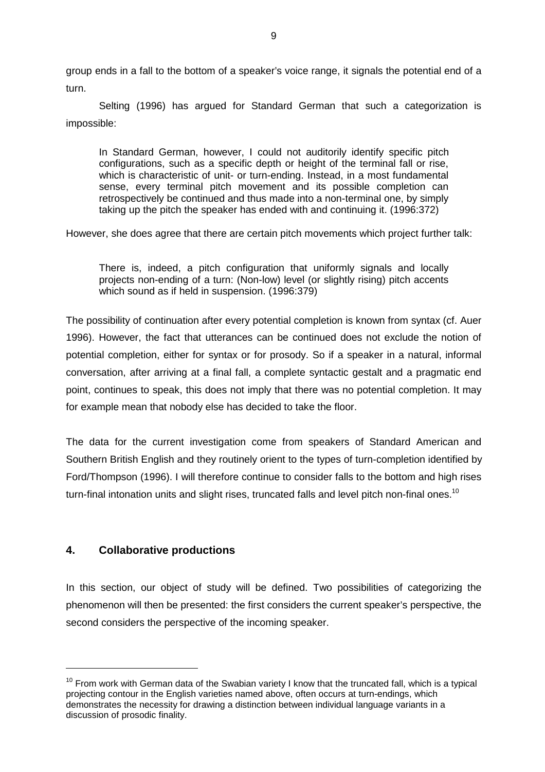group ends in a fall to the bottom of a speaker's voice range, it signals the potential end of a turn.

Selting (1996) has argued for Standard German that such a categorization is impossible:

In Standard German, however, I could not auditorily identify specific pitch configurations, such as a specific depth or height of the terminal fall or rise, which is characteristic of unit- or turn-ending. Instead, in a most fundamental sense, every terminal pitch movement and its possible completion can retrospectively be continued and thus made into a non-terminal one, by simply taking up the pitch the speaker has ended with and continuing it. (1996:372)

However, she does agree that there are certain pitch movements which project further talk:

There is, indeed, a pitch configuration that uniformly signals and locally projects non-ending of a turn: (Non-low) level (or slightly rising) pitch accents which sound as if held in suspension. (1996:379)

The possibility of continuation after every potential completion is known from syntax (cf. Auer 1996). However, the fact that utterances can be continued does not exclude the notion of potential completion, either for syntax or for prosody. So if a speaker in a natural, informal conversation, after arriving at a final fall, a complete syntactic gestalt and a pragmatic end point, continues to speak, this does not imply that there was no potential completion. It may for example mean that nobody else has decided to take the floor.

The data for the current investigation come from speakers of Standard American and Southern British English and they routinely orient to the types of turn-completion identified by Ford/Thompson (1996). I will therefore continue to consider falls to the bottom and high rises turn-final intonation units and slight rises, truncated falls and level pitch non-final ones.<sup>10</sup>

## **4. Collaborative productions**

 $\overline{a}$ 

In this section, our object of study will be defined. Two possibilities of categorizing the phenomenon will then be presented: the first considers the current speaker's perspective, the second considers the perspective of the incoming speaker.

 $10$  From work with German data of the Swabian variety I know that the truncated fall, which is a typical projecting contour in the English varieties named above, often occurs at turn-endings, which demonstrates the necessity for drawing a distinction between individual language variants in a discussion of prosodic finality.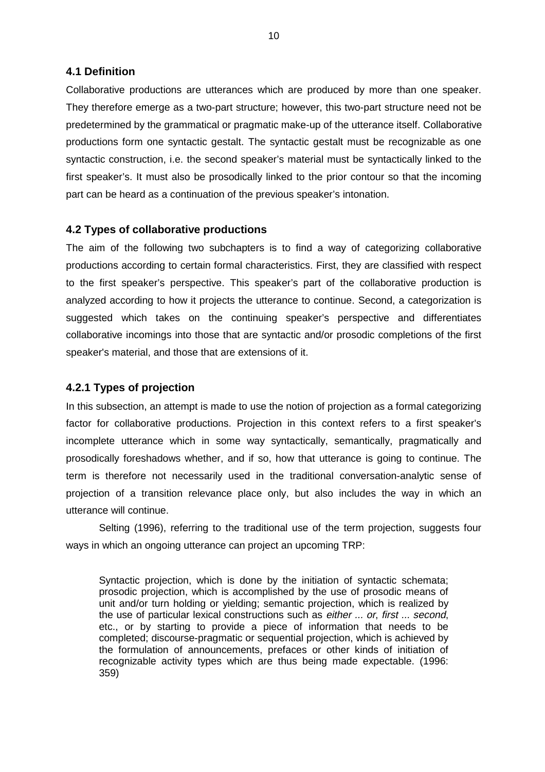#### **4.1 Definition**

Collaborative productions are utterances which are produced by more than one speaker. They therefore emerge as a two-part structure; however, this two-part structure need not be predetermined by the grammatical or pragmatic make-up of the utterance itself. Collaborative productions form one syntactic gestalt. The syntactic gestalt must be recognizable as one syntactic construction, i.e. the second speaker's material must be syntactically linked to the first speaker's. It must also be prosodically linked to the prior contour so that the incoming part can be heard as a continuation of the previous speaker's intonation.

## **4.2 Types of collaborative productions**

The aim of the following two subchapters is to find a way of categorizing collaborative productions according to certain formal characteristics. First, they are classified with respect to the first speaker's perspective. This speaker's part of the collaborative production is analyzed according to how it projects the utterance to continue. Second, a categorization is suggested which takes on the continuing speaker's perspective and differentiates collaborative incomings into those that are syntactic and/or prosodic completions of the first speaker's material, and those that are extensions of it.

## **4.2.1 Types of projection**

In this subsection, an attempt is made to use the notion of projection as a formal categorizing factor for collaborative productions. Projection in this context refers to a first speaker's incomplete utterance which in some way syntactically, semantically, pragmatically and prosodically foreshadows whether, and if so, how that utterance is going to continue. The term is therefore not necessarily used in the traditional conversation-analytic sense of projection of a transition relevance place only, but also includes the way in which an utterance will continue.

Selting (1996), referring to the traditional use of the term projection, suggests four ways in which an ongoing utterance can project an upcoming TRP:

Syntactic projection, which is done by the initiation of syntactic schemata; prosodic projection, which is accomplished by the use of prosodic means of unit and/or turn holding or yielding; semantic projection, which is realized by the use of particular lexical constructions such as either ... or, first ... second, etc., or by starting to provide a piece of information that needs to be completed; discourse-pragmatic or sequential projection, which is achieved by the formulation of announcements, prefaces or other kinds of initiation of recognizable activity types which are thus being made expectable. (1996: 359)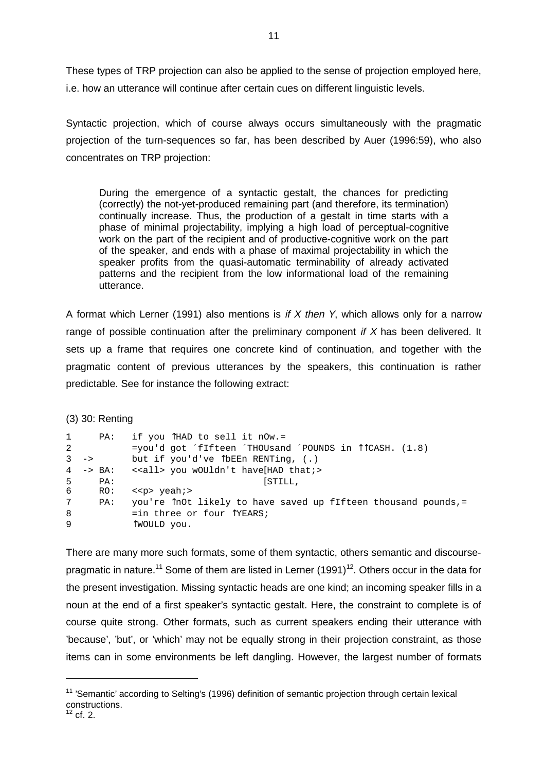These types of TRP projection can also be applied to the sense of projection employed here, i.e. how an utterance will continue after certain cues on different linguistic levels.

Syntactic projection, which of course always occurs simultaneously with the pragmatic projection of the turn-sequences so far, has been described by Auer (1996:59), who also concentrates on TRP projection:

During the emergence of a syntactic gestalt, the chances for predicting (correctly) the not-yet-produced remaining part (and therefore, its termination) continually increase. Thus, the production of a gestalt in time starts with a phase of minimal projectability, implying a high load of perceptual-cognitive work on the part of the recipient and of productive-cognitive work on the part of the speaker, and ends with a phase of maximal projectability in which the speaker profits from the quasi-automatic terminability of already activated patterns and the recipient from the low informational load of the remaining utterance.

A format which Lerner (1991) also mentions is if  $X$  then  $Y$ , which allows only for a narrow range of possible continuation after the preliminary component if  $X$  has been delivered. It sets up a frame that requires one concrete kind of continuation, and together with the pragmatic content of previous utterances by the speakers, this continuation is rather predictable. See for instance the following extract:

(3) 30: Renting

| 1               | PA:             | if you THAD to sell it nOw.=                                    |
|-----------------|-----------------|-----------------------------------------------------------------|
| 2               |                 | =you'd got 'fIfteen 'THOUsand 'POUNDS in $\Upsilon$ CASH. (1.8) |
|                 | $3 \rightarrow$ | but if you'd've $\hat{L}$ bEEn RENTing, (.)                     |
|                 |                 | 4 -> BA: < <all> you wOUldn't have[HAD that;&gt;</all>          |
| 5               | PA:             | [STILL,                                                         |
| 6               | RO:             | $\langle$ <p> <math>\gamma</math>eah; &gt;</p>                  |
| $7\overline{ }$ | PA:             | you're InOt likely to have saved up fIfteen thousand pounds,=   |
| 8               |                 | $=$ in three or four $\uparrow$ YEARS;                          |
| $\mathsf{Q}$    |                 | TWOULD you.                                                     |

There are many more such formats, some of them syntactic, others semantic and discoursepragmatic in nature.<sup>11</sup> Some of them are listed in Lerner (1991)<sup>12</sup>. Others occur in the data for the present investigation. Missing syntactic heads are one kind; an incoming speaker fills in a noun at the end of a first speaker's syntactic gestalt. Here, the constraint to complete is of course quite strong. Other formats, such as current speakers ending their utterance with 'because', 'but', or 'which' may not be equally strong in their projection constraint, as those items can in some environments be left dangling. However, the largest number of formats

 $11$  'Semantic' according to Selting's (1996) definition of semantic projection through certain lexical constructions.

 $12$  cf. 2.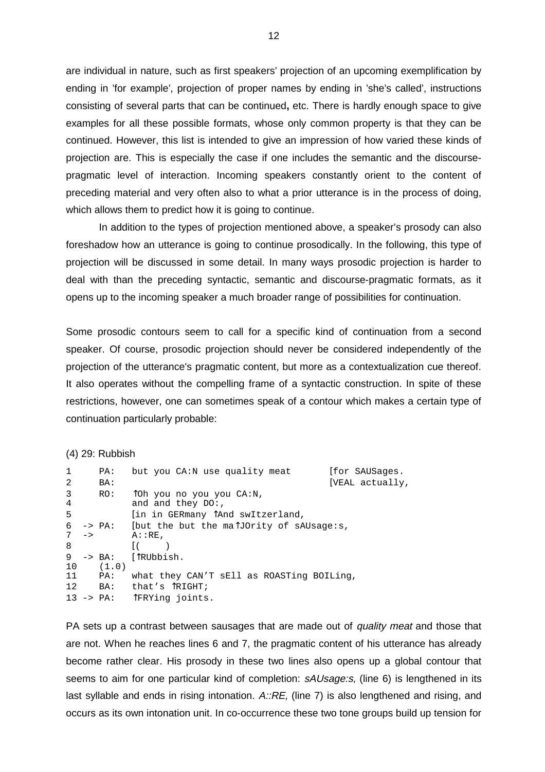are individual in nature, such as first speakers' projection of an upcoming exemplification by ending in 'for example', projection of proper names by ending in 'she's called', instructions consisting of several parts that can be continued**,** etc. There is hardly enough space to give examples for all these possible formats, whose only common property is that they can be continued. However, this list is intended to give an impression of how varied these kinds of projection are. This is especially the case if one includes the semantic and the discoursepragmatic level of interaction. Incoming speakers constantly orient to the content of preceding material and very often also to what a prior utterance is in the process of doing, which allows them to predict how it is going to continue.

In addition to the types of projection mentioned above, a speaker's prosody can also foreshadow how an utterance is going to continue prosodically. In the following, this type of projection will be discussed in some detail. In many ways prosodic projection is harder to deal with than the preceding syntactic, semantic and discourse-pragmatic formats, as it opens up to the incoming speaker a much broader range of possibilities for continuation.

Some prosodic contours seem to call for a specific kind of continuation from a second speaker. Of course, prosodic projection should never be considered independently of the projection of the utterance's pragmatic content, but more as a contextualization cue thereof. It also operates without the compelling frame of a syntactic construction. In spite of these restrictions, however, one can sometimes speak of a contour which makes a certain type of continuation particularly probable:

```
(4) 29: Rubbish
```

| $\mathbf{1}$ | PA:                   | but you CA:N use quality meat                   | Ifor SAUSages.  |
|--------------|-----------------------|-------------------------------------------------|-----------------|
| 2            | BA:                   |                                                 | [VEAL actually, |
| $\mathbf{3}$ | RO:                   | Toh you no you you CA:N,                        |                 |
| 4            |                       | and and they $DO:$ ,                            |                 |
| 5            |                       | [in in GERmany TAnd swItzerland,                |                 |
| 6            |                       | -> PA: [but the but the malJOrity of sAUsage:s, |                 |
|              | $7 \rightarrow$       | $A: : RE$ ,                                     |                 |
| 8            |                       |                                                 |                 |
| 9            | $\rightarrow$ BA:     | [TRUbbish.                                      |                 |
| 10           | (1.0)                 |                                                 |                 |
| 11           | PA:                   | what they CAN'T sEll as ROASTing BOILing,       |                 |
| 12           | BA:                   | that's <sup>T</sup> RIGHT;                      |                 |
|              | $13 \rightarrow PA$ : | TFRYing joints.                                 |                 |

PA sets up a contrast between sausages that are made out of quality meat and those that are not. When he reaches lines 6 and 7, the pragmatic content of his utterance has already become rather clear. His prosody in these two lines also opens up a global contour that seems to aim for one particular kind of completion: sAUsage: s, (line 6) is lengthened in its last syllable and ends in rising intonation.  $A::RE$ , (line 7) is also lengthened and rising, and occurs as its own intonation unit. In co-occurrence these two tone groups build up tension for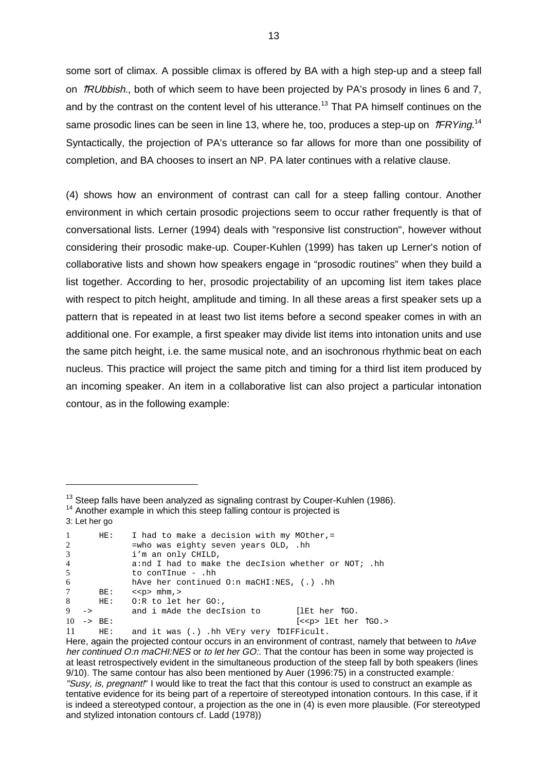some sort of climax. A possible climax is offered by BA with a high step-up and a steep fall on  $\hat{\mathcal{R}}$ Ubbish., both of which seem to have been projected by PA's prosody in lines 6 and 7, and by the contrast on the content level of his utterance.<sup>13</sup> That PA himself continues on the same prosodic lines can be seen in line 13, where he, too, produces a step-up on  $\hat{\mathcal{I}}$ FRYing.<sup>14</sup> Syntactically, the projection of PA's utterance so far allows for more than one possibility of completion, and BA chooses to insert an NP. PA later continues with a relative clause.

(4) shows how an environment of contrast can call for a steep falling contour. Another environment in which certain prosodic projections seem to occur rather frequently is that of conversational lists. Lerner (1994) deals with "responsive list construction", however without considering their prosodic make-up. Couper-Kuhlen (1999) has taken up Lerner's notion of collaborative lists and shown how speakers engage in "prosodic routines" when they build a list together. According to her, prosodic projectability of an upcoming list item takes place with respect to pitch height, amplitude and timing. In all these areas a first speaker sets up a pattern that is repeated in at least two list items before a second speaker comes in with an additional one. For example, a first speaker may divide list items into intonation units and use the same pitch height, i.e. the same musical note, and an isochronous rhythmic beat on each nucleus. This practice will project the same pitch and timing for a third list item produced by an incoming speaker. An item in a collaborative list can also project a particular intonation contour, as in the following example:

| $\mathbf{1}$<br>2 |               | HE:                   | I had to make a decision with my MOther,=<br>=who was eighty seven years OLD, .hh |  |
|-------------------|---------------|-----------------------|-----------------------------------------------------------------------------------|--|
| 3                 |               |                       | i'm an only CHILD,                                                                |  |
| $\overline{4}$    |               |                       | a:nd I had to make the decIsion whether or NOT; .hh                               |  |
| 5                 |               |                       | to conTInue - .hh                                                                 |  |
| 6                 |               |                       | hAve her continued $0:n$ maCHI:NES, $(.)$ .hh                                     |  |
| $7^{\circ}$       |               | BE:                   | $\langle$ <p> mhm, &gt;</p>                                                       |  |
| 8                 |               | HE:                   | $0:R$ to let her GO:,                                                             |  |
| 9                 | $\rightarrow$ |                       | [lEt her TGO.<br>and i mAde the decIsion to                                       |  |
|                   |               | $10 \rightarrow BE$ : | $[<\leq p>$ 1Et her $\log s$                                                      |  |

11 HE: and it was (.) .hh VEry very ÎDIFFicult.

<sup>&</sup>lt;sup>13</sup> Steep falls have been analyzed as signaling contrast by Couper-Kuhlen (1986).<br><sup>14</sup> Another example in which this steep falling contour is projected is

<sup>3:</sup> Let her go

Here, again the projected contour occurs in an environment of contrast, namely that between to hAve her continued O:n maCHI:NES or to let her GO:. That the contour has been in some way projected is at least retrospectively evident in the simultaneous production of the steep fall by both speakers (lines 9/10). The same contour has also been mentioned by Auer (1996:75) in a constructed example: "Susy, is, pregnant!" I would like to treat the fact that this contour is used to construct an example as tentative evidence for its being part of a repertoire of stereotyped intonation contours. In this case, if it is indeed a stereotyped contour, a projection as the one in (4) is even more plausible. (For stereotyped and stylized intonation contours cf. Ladd (1978))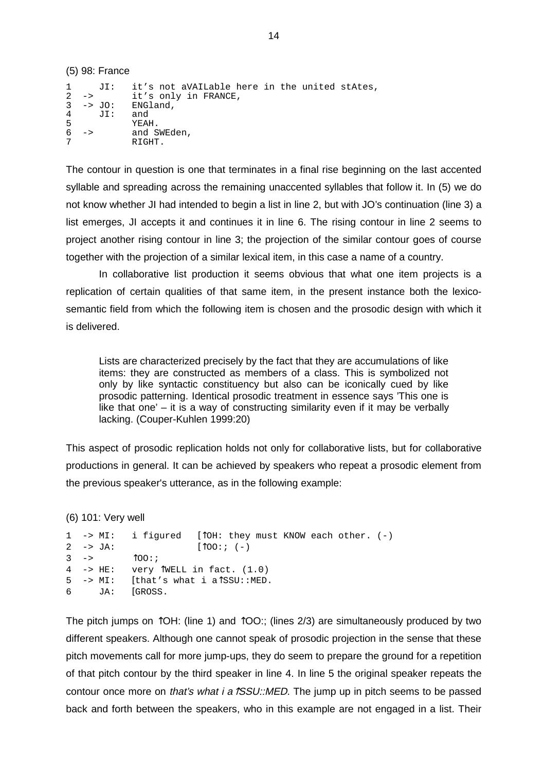(5) 98: France 1 JI: it's not aVAILable here in the united stAtes,<br>2 -> it's only in FRANCE 2 -> it's only in FRANCE,  $3 \rightarrow$  JO: ENGland,<br> $4 \text{JI}:$  and 4 JI: and 5 YEAH.<br>6 -> and S 6 -> and SWEden, 7 RIGHT.

The contour in question is one that terminates in a final rise beginning on the last accented syllable and spreading across the remaining unaccented syllables that follow it. In (5) we do not know whether JI had intended to begin a list in line 2, but with JO's continuation (line 3) a list emerges, JI accepts it and continues it in line 6. The rising contour in line 2 seems to project another rising contour in line 3; the projection of the similar contour goes of course together with the projection of a similar lexical item, in this case a name of a country.

In collaborative list production it seems obvious that what one item projects is a replication of certain qualities of that same item, in the present instance both the lexicosemantic field from which the following item is chosen and the prosodic design with which it is delivered.

Lists are characterized precisely by the fact that they are accumulations of like items: they are constructed as members of a class. This is symbolized not only by like syntactic constituency but also can be iconically cued by like prosodic patterning. Identical prosodic treatment in essence says 'This one is like that one' – it is a way of constructing similarity even if it may be verbally lacking. (Couper-Kuhlen 1999:20)

This aspect of prosodic replication holds not only for collaborative lists, but for collaborative productions in general. It can be achieved by speakers who repeat a prosodic element from the previous speaker's utterance, as in the following example:

(6) 101: Very well

```
1 -> MI: i figured \int \intOH: they must KNOW each other. (-)
2 -> JA: [\text{100}:; (-)]3 \rightarrow \qquad \qquad \uparrow 00: i4 \rightarrow HE: \quad very \uparrow WELL in fact. (1.0)
5 -> MI: [that's what i a↑SSU::MED. 
6 JA: [GROSS.
```
The pitch jumps on  $\hat{O}H$ : (line 1) and  $\hat{O}O$ : (lines 2/3) are simultaneously produced by two different speakers. Although one cannot speak of prosodic projection in the sense that these pitch movements call for more jump-ups, they do seem to prepare the ground for a repetition of that pitch contour by the third speaker in line 4. In line 5 the original speaker repeats the contour once more on that's what i a $\sqrt{SSU}$ ::MED. The jump up in pitch seems to be passed back and forth between the speakers, who in this example are not engaged in a list. Their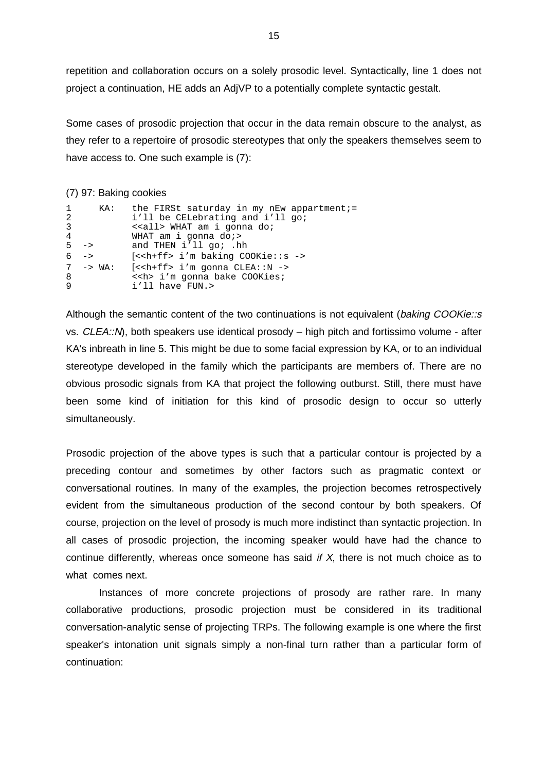repetition and collaboration occurs on a solely prosodic level. Syntactically, line 1 does not project a continuation, HE adds an AdjVP to a potentially complete syntactic gestalt.

Some cases of prosodic projection that occur in the data remain obscure to the analyst, as they refer to a repertoire of prosodic stereotypes that only the speakers themselves seem to have access to. One such example is (7):

#### (7) 97: Baking cookies

| $\mathbf{1}$<br>2<br>3<br>4 | KA:                | the FIRSt saturday in my nEw appartment;=<br>i'll be CELebrating and i'll go;<br>< <all> WHAT am i gonna do;<br/>WHAT am i gonna do;&gt;</all>  |
|-----------------------------|--------------------|-------------------------------------------------------------------------------------------------------------------------------------------------|
|                             | $5 - >$            | and THEN i'll go; .hh                                                                                                                           |
|                             | $6 - >$            | $[ i'm baking COOKie::s ->$                                                                                                                     |
| 8<br>9                      | $7 \rightarrow WA$ | $\left[ \langle \langle \cdot \rangle \cdot \rangle \right]$ = 1'm gonna CLEA::N -><br>< <h> i'm gonna bake COOKies;<br/>i'll have FUN.&gt;</h> |

Although the semantic content of the two continuations is not equivalent (baking COOKie::s vs. CLEA::N), both speakers use identical prosody – high pitch and fortissimo volume - after KA's inbreath in line 5. This might be due to some facial expression by KA, or to an individual stereotype developed in the family which the participants are members of. There are no obvious prosodic signals from KA that project the following outburst. Still, there must have been some kind of initiation for this kind of prosodic design to occur so utterly simultaneously.

Prosodic projection of the above types is such that a particular contour is projected by a preceding contour and sometimes by other factors such as pragmatic context or conversational routines. In many of the examples, the projection becomes retrospectively evident from the simultaneous production of the second contour by both speakers. Of course, projection on the level of prosody is much more indistinct than syntactic projection. In all cases of prosodic projection, the incoming speaker would have had the chance to continue differently, whereas once someone has said if  $X$ , there is not much choice as to what comes next.

Instances of more concrete projections of prosody are rather rare. In many collaborative productions, prosodic projection must be considered in its traditional conversation-analytic sense of projecting TRPs. The following example is one where the first speaker's intonation unit signals simply a non-final turn rather than a particular form of continuation: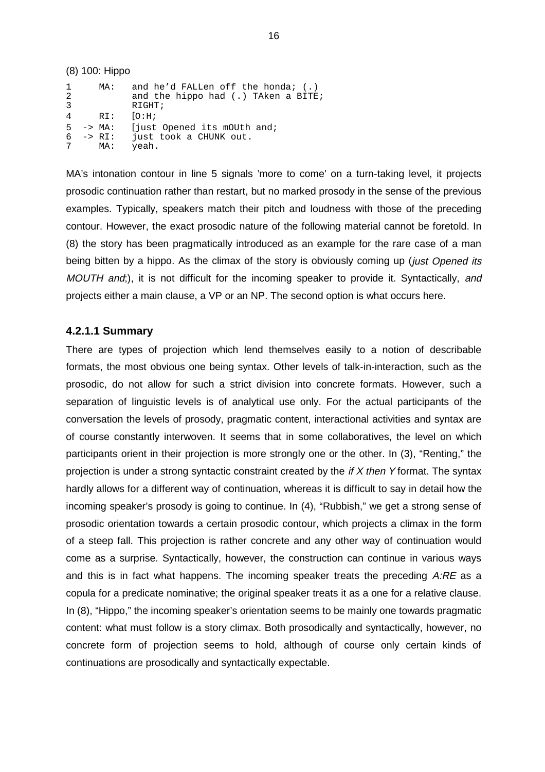|             | (8) 100: Hippo                     |                                                                                       |
|-------------|------------------------------------|---------------------------------------------------------------------------------------|
| 1<br>2<br>3 | MA:                                | and he'd FALLen off the honda; $(.)$<br>and the hippo had (.) TAken a BITE;<br>RIGHT; |
| 4           | RI:                                | [O:H;                                                                                 |
| -5<br>6     | -> MA:<br>$\rightarrow$ RI:<br>MA: | fiust Opened its mOUth and;<br>just took a CHUNK out.<br>yeah.                        |

MA's intonation contour in line 5 signals 'more to come' on a turn-taking level, it projects prosodic continuation rather than restart, but no marked prosody in the sense of the previous examples. Typically, speakers match their pitch and loudness with those of the preceding contour. However, the exact prosodic nature of the following material cannot be foretold. In (8) the story has been pragmatically introduced as an example for the rare case of a man being bitten by a hippo. As the climax of the story is obviously coming up (just Opened its MOUTH and;), it is not difficult for the incoming speaker to provide it. Syntactically, and projects either a main clause, a VP or an NP. The second option is what occurs here.

#### **4.2.1.1 Summary**

There are types of projection which lend themselves easily to a notion of describable formats, the most obvious one being syntax. Other levels of talk-in-interaction, such as the prosodic, do not allow for such a strict division into concrete formats. However, such a separation of linguistic levels is of analytical use only. For the actual participants of the conversation the levels of prosody, pragmatic content, interactional activities and syntax are of course constantly interwoven. It seems that in some collaboratives, the level on which participants orient in their projection is more strongly one or the other. In (3), "Renting," the projection is under a strong syntactic constraint created by the  $if X then Y$  format. The syntax hardly allows for a different way of continuation, whereas it is difficult to say in detail how the incoming speaker's prosody is going to continue. In (4), "Rubbish," we get a strong sense of prosodic orientation towards a certain prosodic contour, which projects a climax in the form of a steep fall. This projection is rather concrete and any other way of continuation would come as a surprise. Syntactically, however, the construction can continue in various ways and this is in fact what happens. The incoming speaker treats the preceding  $A:RE$  as a copula for a predicate nominative; the original speaker treats it as a one for a relative clause. In (8), "Hippo," the incoming speaker's orientation seems to be mainly one towards pragmatic content: what must follow is a story climax. Both prosodically and syntactically, however, no concrete form of projection seems to hold, although of course only certain kinds of continuations are prosodically and syntactically expectable.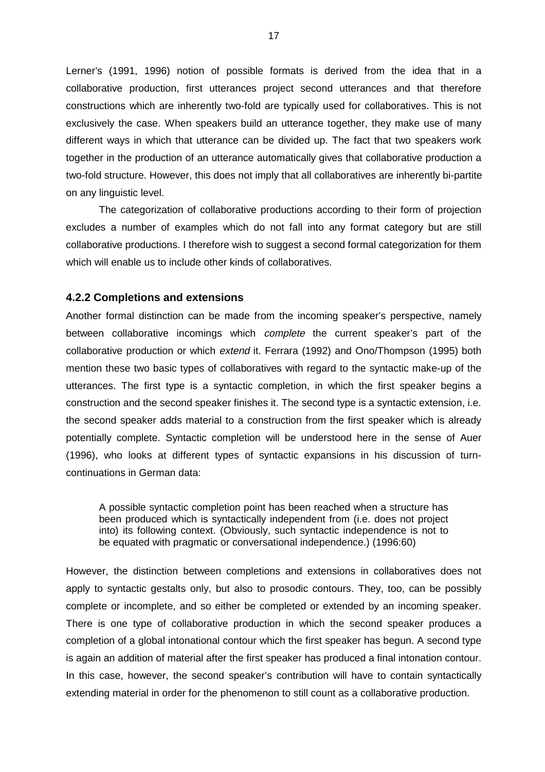Lerner's (1991, 1996) notion of possible formats is derived from the idea that in a collaborative production, first utterances project second utterances and that therefore constructions which are inherently two-fold are typically used for collaboratives. This is not exclusively the case. When speakers build an utterance together, they make use of many different ways in which that utterance can be divided up. The fact that two speakers work together in the production of an utterance automatically gives that collaborative production a two-fold structure. However, this does not imply that all collaboratives are inherently bi-partite on any linguistic level.

The categorization of collaborative productions according to their form of projection excludes a number of examples which do not fall into any format category but are still collaborative productions. I therefore wish to suggest a second formal categorization for them which will enable us to include other kinds of collaboratives.

#### **4.2.2 Completions and extensions**

Another formal distinction can be made from the incoming speaker's perspective, namely between collaborative incomings which *complete* the current speaker's part of the collaborative production or which extend it. Ferrara (1992) and Ono/Thompson (1995) both mention these two basic types of collaboratives with regard to the syntactic make-up of the utterances. The first type is a syntactic completion, in which the first speaker begins a construction and the second speaker finishes it. The second type is a syntactic extension, i.e. the second speaker adds material to a construction from the first speaker which is already potentially complete. Syntactic completion will be understood here in the sense of Auer (1996), who looks at different types of syntactic expansions in his discussion of turncontinuations in German data:

A possible syntactic completion point has been reached when a structure has been produced which is syntactically independent from (i.e. does not project into) its following context. (Obviously, such syntactic independence is not to be equated with pragmatic or conversational independence.) (1996:60)

However, the distinction between completions and extensions in collaboratives does not apply to syntactic gestalts only, but also to prosodic contours. They, too, can be possibly complete or incomplete, and so either be completed or extended by an incoming speaker. There is one type of collaborative production in which the second speaker produces a completion of a global intonational contour which the first speaker has begun. A second type is again an addition of material after the first speaker has produced a final intonation contour. In this case, however, the second speaker's contribution will have to contain syntactically extending material in order for the phenomenon to still count as a collaborative production.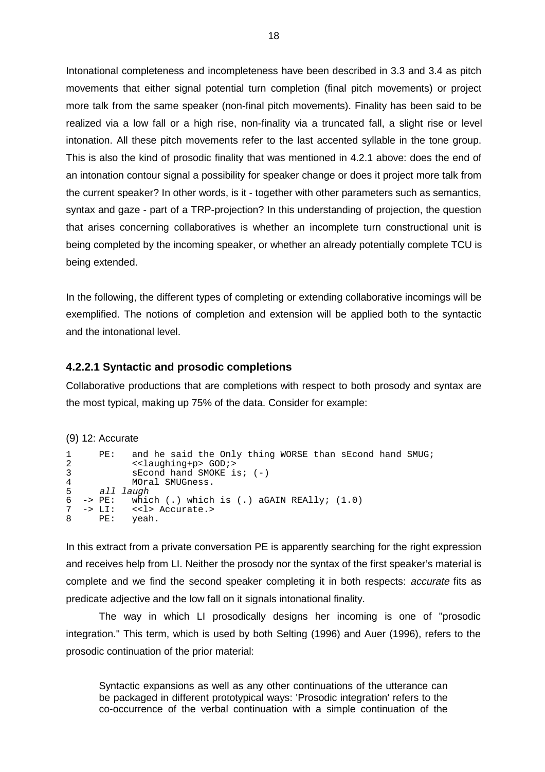Intonational completeness and incompleteness have been described in 3.3 and 3.4 as pitch movements that either signal potential turn completion (final pitch movements) or project more talk from the same speaker (non-final pitch movements). Finality has been said to be realized via a low fall or a high rise, non-finality via a truncated fall, a slight rise or level intonation. All these pitch movements refer to the last accented syllable in the tone group. This is also the kind of prosodic finality that was mentioned in 4.2.1 above: does the end of an intonation contour signal a possibility for speaker change or does it project more talk from the current speaker? In other words, is it - together with other parameters such as semantics, syntax and gaze - part of a TRP-projection? In this understanding of projection, the question that arises concerning collaboratives is whether an incomplete turn constructional unit is being completed by the incoming speaker, or whether an already potentially complete TCU is being extended.

In the following, the different types of completing or extending collaborative incomings will be exemplified. The notions of completion and extension will be applied both to the syntactic and the intonational level.

## **4.2.2.1 Syntactic and prosodic completions**

Collaborative productions that are completions with respect to both prosody and syntax are the most typical, making up 75% of the data. Consider for example:

#### (9) 12: Accurate

| $\mathbf{1}$<br>$\overline{a}$ | PE:   | and he said the Only thing WORSE than sEcond hand SMUG;<br>< <laughing+p> GOD;&gt;</laughing+p> |
|--------------------------------|-------|-------------------------------------------------------------------------------------------------|
| $\mathbf{3}$                   |       | $sEcond$ hand SMOKE is; $(-)$                                                                   |
| $\overline{4}$                 |       | MOral SMUGness.                                                                                 |
|                                |       | 5 all laugh                                                                                     |
|                                |       | $6 \rightarrow PE$ : which (.) which is (.) aGAIN REAlly; $(1.0)$                               |
|                                |       | $7 \rightarrow \text{LI}: \langle < l \rangle$ Accurate.                                        |
|                                | 8 PE: | yeah.                                                                                           |

In this extract from a private conversation PE is apparently searching for the right expression and receives help from LI. Neither the prosody nor the syntax of the first speaker's material is complete and we find the second speaker completing it in both respects: accurate fits as predicate adjective and the low fall on it signals intonational finality.

 The way in which LI prosodically designs her incoming is one of "prosodic integration." This term, which is used by both Selting (1996) and Auer (1996), refers to the prosodic continuation of the prior material:

Syntactic expansions as well as any other continuations of the utterance can be packaged in different prototypical ways: 'Prosodic integration' refers to the co-occurrence of the verbal continuation with a simple continuation of the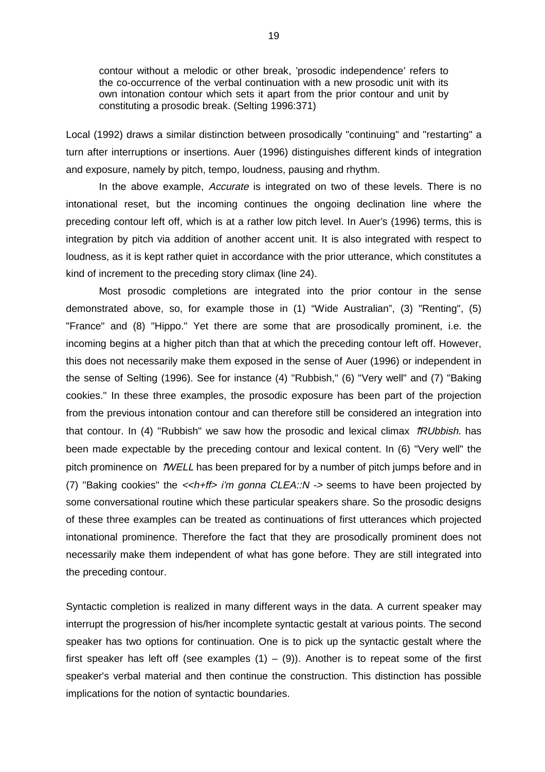contour without a melodic or other break, 'prosodic independence' refers to the co-occurrence of the verbal continuation with a new prosodic unit with its own intonation contour which sets it apart from the prior contour and unit by constituting a prosodic break. (Selting 1996:371)

Local (1992) draws a similar distinction between prosodically "continuing" and "restarting" a turn after interruptions or insertions. Auer (1996) distinguishes different kinds of integration and exposure, namely by pitch, tempo, loudness, pausing and rhythm.

In the above example, *Accurate* is integrated on two of these levels. There is no intonational reset, but the incoming continues the ongoing declination line where the preceding contour left off, which is at a rather low pitch level. In Auer's (1996) terms, this is integration by pitch via addition of another accent unit. It is also integrated with respect to loudness, as it is kept rather quiet in accordance with the prior utterance, which constitutes a kind of increment to the preceding story climax (line 24).

Most prosodic completions are integrated into the prior contour in the sense demonstrated above, so, for example those in (1) "Wide Australian", (3) "Renting", (5) "France" and (8) "Hippo." Yet there are some that are prosodically prominent, i.e. the incoming begins at a higher pitch than that at which the preceding contour left off. However, this does not necessarily make them exposed in the sense of Auer (1996) or independent in the sense of Selting (1996). See for instance (4) "Rubbish," (6) "Very well" and (7) "Baking cookies." In these three examples, the prosodic exposure has been part of the projection from the previous intonation contour and can therefore still be considered an integration into that contour. In (4) "Rubbish" we saw how the prosodic and lexical climax  $\hat{P}RUb\hat{b}ish$ . has been made expectable by the preceding contour and lexical content. In (6) "Very well" the pitch prominence on  $\hat{N}WELL$  has been prepared for by a number of pitch jumps before and in (7) "Baking cookies" the  $\lt$ h+ff> i'm gonna CLEA::N -> seems to have been projected by some conversational routine which these particular speakers share. So the prosodic designs of these three examples can be treated as continuations of first utterances which projected intonational prominence. Therefore the fact that they are prosodically prominent does not necessarily make them independent of what has gone before. They are still integrated into the preceding contour.

Syntactic completion is realized in many different ways in the data. A current speaker may interrupt the progression of his/her incomplete syntactic gestalt at various points. The second speaker has two options for continuation. One is to pick up the syntactic gestalt where the first speaker has left off (see examples  $(1) - (9)$ ). Another is to repeat some of the first speaker's verbal material and then continue the construction. This distinction has possible implications for the notion of syntactic boundaries.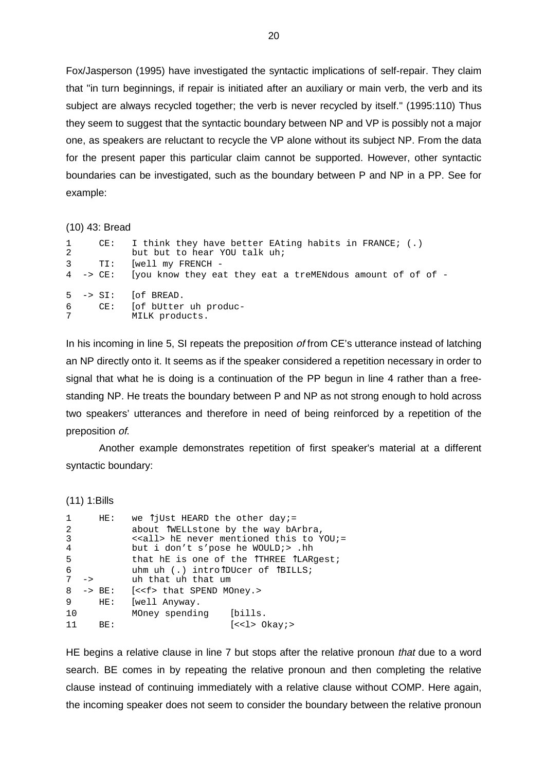Fox/Jasperson (1995) have investigated the syntactic implications of self-repair. They claim that "in turn beginnings, if repair is initiated after an auxiliary or main verb, the verb and its subject are always recycled together; the verb is never recycled by itself." (1995:110) Thus they seem to suggest that the syntactic boundary between NP and VP is possibly not a major one, as speakers are reluctant to recycle the VP alone without its subject NP. From the data for the present paper this particular claim cannot be supported. However, other syntactic boundaries can be investigated, such as the boundary between P and NP in a PP. See for example:

#### (10) 43: Bread

| 2 | 1 CE: I think they have better EAting habits in FRANCE; (.)<br>but but to hear YOU talk uh; |
|---|---------------------------------------------------------------------------------------------|
|   | 3 TI: [well my FRENCH -                                                                     |
|   | 4 -> CE: [you know they eat they eat a treMENdous amount of of of -                         |
|   | $5 \rightarrow SI$ : [of BREAD.<br>6 CE: [of bUtter uh produc-<br>7 MILK products.          |

In his incoming in line 5, SI repeats the preposition of from CE's utterance instead of latching an NP directly onto it. It seems as if the speaker considered a repetition necessary in order to signal that what he is doing is a continuation of the PP begun in line 4 rather than a freestanding NP. He treats the boundary between P and NP as not strong enough to hold across two speakers' utterances and therefore in need of being reinforced by a repetition of the preposition of.

Another example demonstrates repetition of first speaker's material at a different syntactic boundary:

(11) 1:Bills

| $\mathbf{1}$   |               | HE:                  | we $\hat{}}$ jUst HEARD the other day; =                            |
|----------------|---------------|----------------------|---------------------------------------------------------------------|
| 2              |               |                      | about TWELLstone by the way bArbra,                                 |
| 3              |               |                      | < <all> hE never mentioned this to YOU;=</all>                      |
| $\overline{4}$ |               |                      | but i don't s'pose he WOULD; >.hh                                   |
| 5              |               |                      | that hE is one of the $\int$ THREE $\int$ LARqest;                  |
| 6              |               |                      | uhm uh $(.)$ intro $\text{D} \text{Ucer}$ of $\text{B} \text{ILLS}$ |
| 7              | $\rightarrow$ |                      | uh that uh that um                                                  |
|                |               | $8 \rightarrow BE$ : | (< <f> that SPEND MOney.&gt;</f>                                    |
| 9              |               | HE:                  | [well Anyway.                                                       |
| 10             |               |                      | MOney spending [bills.                                              |
| 11             |               | BE:                  | $\left[ \langle \langle 1 \rangle \rangle \right]$ Okay; $>$        |

HE begins a relative clause in line 7 but stops after the relative pronoun that due to a word search. BE comes in by repeating the relative pronoun and then completing the relative clause instead of continuing immediately with a relative clause without COMP. Here again, the incoming speaker does not seem to consider the boundary between the relative pronoun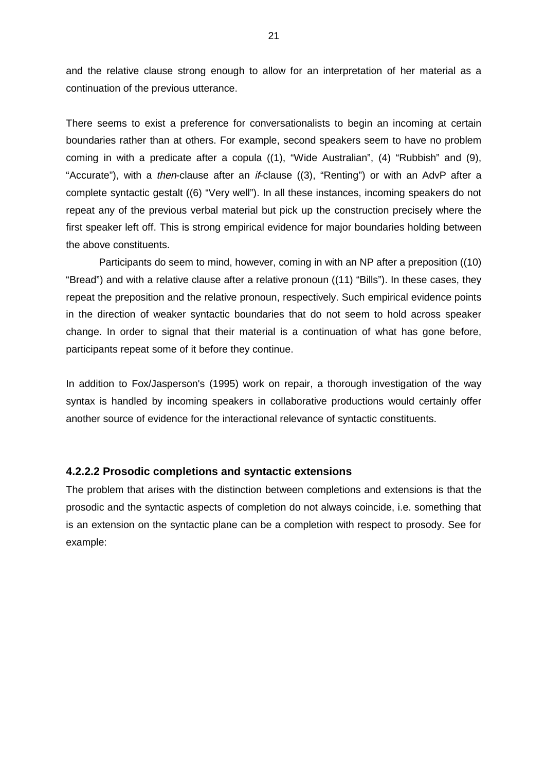and the relative clause strong enough to allow for an interpretation of her material as a continuation of the previous utterance.

There seems to exist a preference for conversationalists to begin an incoming at certain boundaries rather than at others. For example, second speakers seem to have no problem coming in with a predicate after a copula ((1), "Wide Australian", (4) "Rubbish" and (9), "Accurate"), with a then-clause after an if-clause ((3), "Renting") or with an AdvP after a complete syntactic gestalt ((6) "Very well"). In all these instances, incoming speakers do not repeat any of the previous verbal material but pick up the construction precisely where the first speaker left off. This is strong empirical evidence for major boundaries holding between the above constituents.

Participants do seem to mind, however, coming in with an NP after a preposition ((10) "Bread") and with a relative clause after a relative pronoun ((11) "Bills"). In these cases, they repeat the preposition and the relative pronoun, respectively. Such empirical evidence points in the direction of weaker syntactic boundaries that do not seem to hold across speaker change. In order to signal that their material is a continuation of what has gone before, participants repeat some of it before they continue.

In addition to Fox/Jasperson's (1995) work on repair, a thorough investigation of the way syntax is handled by incoming speakers in collaborative productions would certainly offer another source of evidence for the interactional relevance of syntactic constituents.

#### **4.2.2.2 Prosodic completions and syntactic extensions**

The problem that arises with the distinction between completions and extensions is that the prosodic and the syntactic aspects of completion do not always coincide, i.e. something that is an extension on the syntactic plane can be a completion with respect to prosody. See for example: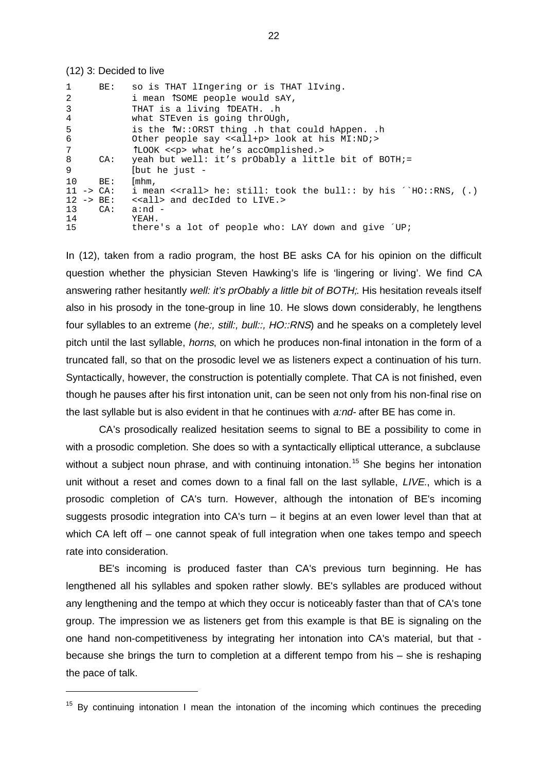#### (12) 3: Decided to live

| $\mathbf{1}$          | BE: | so is THAT lIngering or is THAT lIving.                                                                     |
|-----------------------|-----|-------------------------------------------------------------------------------------------------------------|
| 2                     |     | i mean ÎSOME people would sAY,                                                                              |
| $\overline{3}$        |     | THAT is a living TDEATH. .h                                                                                 |
| $\overline{4}$        |     | what STEven is going thrOUgh,                                                                               |
| 5<br>6                |     | is the ÎW::ORST thing .h that could hAppen. .h<br>Other people say < <all+p> look at his MI:ND;&gt;</all+p> |
| $7\overline{ }$       |     | TLOOK << p> what he's accOmplished.>                                                                        |
| 8                     | CA: | yeah but well: it's prObably a little bit of BOTH;=                                                         |
| 9                     |     | [but he just -                                                                                              |
| 10                    | BE: | $\lfloor m \ln n \rfloor$                                                                                   |
| $11 \rightarrow CA$ : |     | i mean < <rall> he: still: took the bull:: by his ^`HO::RNS, (.)</rall>                                     |
| $12 \rightarrow BE$ : |     | < <all> and decIded to LIVE.&gt;</all>                                                                      |
| 13                    | CA: | $a:nd -$                                                                                                    |
| 14                    |     | YEAH.                                                                                                       |
| 15                    |     | there's a lot of people who: LAY down and give $D^{\prime}$                                                 |

In (12), taken from a radio program, the host BE asks CA for his opinion on the difficult question whether the physician Steven Hawking's life is 'lingering or living'. We find CA answering rather hesitantly well: it's prObably a little bit of BOTH;. His hesitation reveals itself also in his prosody in the tone-group in line 10. He slows down considerably, he lengthens four syllables to an extreme (he:, still:, bull::, HO::RNS) and he speaks on a completely level pitch until the last syllable, horns, on which he produces non-final intonation in the form of a truncated fall, so that on the prosodic level we as listeners expect a continuation of his turn. Syntactically, however, the construction is potentially complete. That CA is not finished, even though he pauses after his first intonation unit, can be seen not only from his non-final rise on the last syllable but is also evident in that he continues with a:nd- after BE has come in.

CA's prosodically realized hesitation seems to signal to BE a possibility to come in with a prosodic completion. She does so with a syntactically elliptical utterance, a subclause without a subject noun phrase, and with continuing intonation.<sup>15</sup> She begins her intonation unit without a reset and comes down to a final fall on the last syllable, LIVE., which is a prosodic completion of CA's turn. However, although the intonation of BE's incoming suggests prosodic integration into  $CA's$  turn – it begins at an even lower level than that at which CA left off – one cannot speak of full integration when one takes tempo and speech rate into consideration.

BE's incoming is produced faster than CA's previous turn beginning. He has lengthened all his syllables and spoken rather slowly. BE's syllables are produced without any lengthening and the tempo at which they occur is noticeably faster than that of CA's tone group. The impression we as listeners get from this example is that BE is signaling on the one hand non-competitiveness by integrating her intonation into CA's material, but that because she brings the turn to completion at a different tempo from his – she is reshaping the pace of talk.

 $15$  By continuing intonation I mean the intonation of the incoming which continues the preceding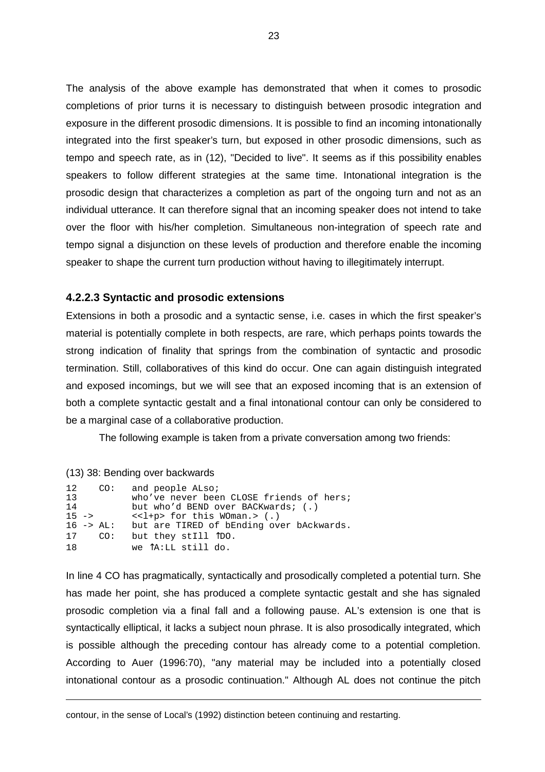The analysis of the above example has demonstrated that when it comes to prosodic completions of prior turns it is necessary to distinguish between prosodic integration and exposure in the different prosodic dimensions. It is possible to find an incoming intonationally integrated into the first speaker's turn, but exposed in other prosodic dimensions, such as tempo and speech rate, as in (12), "Decided to live". It seems as if this possibility enables speakers to follow different strategies at the same time. Intonational integration is the prosodic design that characterizes a completion as part of the ongoing turn and not as an individual utterance. It can therefore signal that an incoming speaker does not intend to take over the floor with his/her completion. Simultaneous non-integration of speech rate and tempo signal a disjunction on these levels of production and therefore enable the incoming speaker to shape the current turn production without having to illegitimately interrupt.

#### **4.2.2.3 Syntactic and prosodic extensions**

Extensions in both a prosodic and a syntactic sense, i.e. cases in which the first speaker's material is potentially complete in both respects, are rare, which perhaps points towards the strong indication of finality that springs from the combination of syntactic and prosodic termination. Still, collaboratives of this kind do occur. One can again distinguish integrated and exposed incomings, but we will see that an exposed incoming that is an extension of both a complete syntactic gestalt and a final intonational contour can only be considered to be a marginal case of a collaborative production.

The following example is taken from a private conversation among two friends:

#### (13) 38: Bending over backwards

| 12       | CO:                   | and people ALso;                              |
|----------|-----------------------|-----------------------------------------------|
| 13       |                       | who've never been CLOSE friends of hers;      |
| 14       |                       | but who'd BEND over BACKwards; (.)            |
| $15 - >$ |                       | $\langle$ <l+p> for this WOman.&gt; (.)</l+p> |
|          | $16 \rightarrow AL$ : | but are TIRED of bEnding over bAckwards.      |
| 17       | CO:                   | but they still TDO.                           |
| 1 8      |                       | we TA:LL still do.                            |

In line 4 CO has pragmatically, syntactically and prosodically completed a potential turn. She has made her point, she has produced a complete syntactic gestalt and she has signaled prosodic completion via a final fall and a following pause. AL's extension is one that is syntactically elliptical, it lacks a subject noun phrase. It is also prosodically integrated, which is possible although the preceding contour has already come to a potential completion. According to Auer (1996:70), "any material may be included into a potentially closed intonational contour as a prosodic continuation." Although AL does not continue the pitch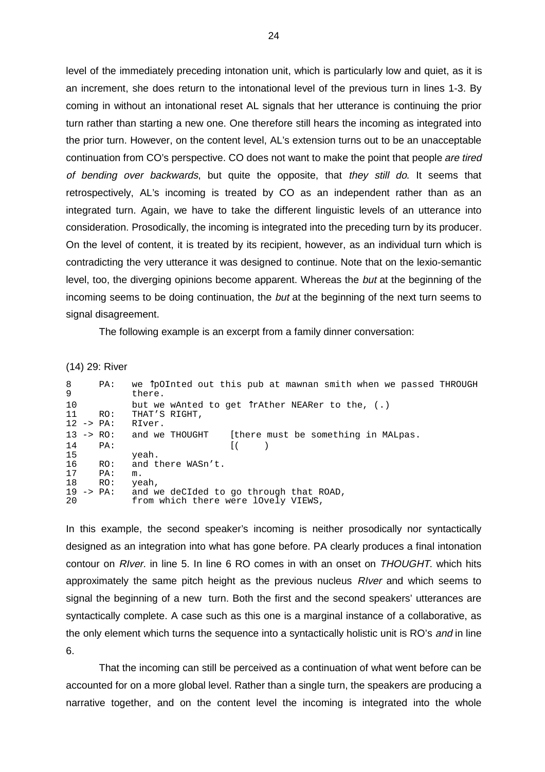level of the immediately preceding intonation unit, which is particularly low and quiet, as it is an increment, she does return to the intonational level of the previous turn in lines 1-3. By coming in without an intonational reset AL signals that her utterance is continuing the prior turn rather than starting a new one. One therefore still hears the incoming as integrated into the prior turn. However, on the content level, AL's extension turns out to be an unacceptable continuation from CO's perspective. CO does not want to make the point that people are tired of bending over backwards, but quite the opposite, that they still do. It seems that retrospectively, AL's incoming is treated by CO as an independent rather than as an integrated turn. Again, we have to take the different linguistic levels of an utterance into consideration. Prosodically, the incoming is integrated into the preceding turn by its producer. On the level of content, it is treated by its recipient, however, as an individual turn which is contradicting the very utterance it was designed to continue. Note that on the lexio-semantic level, too, the diverging opinions become apparent. Whereas the but at the beginning of the incoming seems to be doing continuation, the but at the beginning of the next turn seems to signal disagreement.

The following example is an excerpt from a family dinner conversation:

(14) 29: River

| 8<br>9                            | PA: | we TpOInted out this pub at mawnan smith when we passed THROUGH<br>there.  |
|-----------------------------------|-----|----------------------------------------------------------------------------|
| 10<br>11<br>$12 \rightarrow PA$ : | RO: | but we wAnted to get TrAther NEARer to the, (.)<br>THAT'S RIGHT,<br>RIver. |
| $13 -> RO:$                       |     | and we THOUGHT<br>[there must be something in MALpas.                      |
| 14                                | PA: |                                                                            |
| 15                                |     | yeah.                                                                      |
| 16                                | RO: | and there WASn't.                                                          |
| 17                                | PA: | m.                                                                         |
| 18                                | RO: | yeah,                                                                      |
| $19 \rightarrow PA$ :             |     | and we deCIded to go through that ROAD,                                    |
| 20                                |     | from which there were lOvely VIEWS,                                        |

In this example, the second speaker's incoming is neither prosodically nor syntactically designed as an integration into what has gone before. PA clearly produces a final intonation contour on RIver. in line 5. In line 6 RO comes in with an onset on THOUGHT. which hits approximately the same pitch height as the previous nucleus RIver and which seems to signal the beginning of a new turn. Both the first and the second speakers' utterances are syntactically complete. A case such as this one is a marginal instance of a collaborative, as the only element which turns the sequence into a syntactically holistic unit is RO's and in line 6.

That the incoming can still be perceived as a continuation of what went before can be accounted for on a more global level. Rather than a single turn, the speakers are producing a narrative together, and on the content level the incoming is integrated into the whole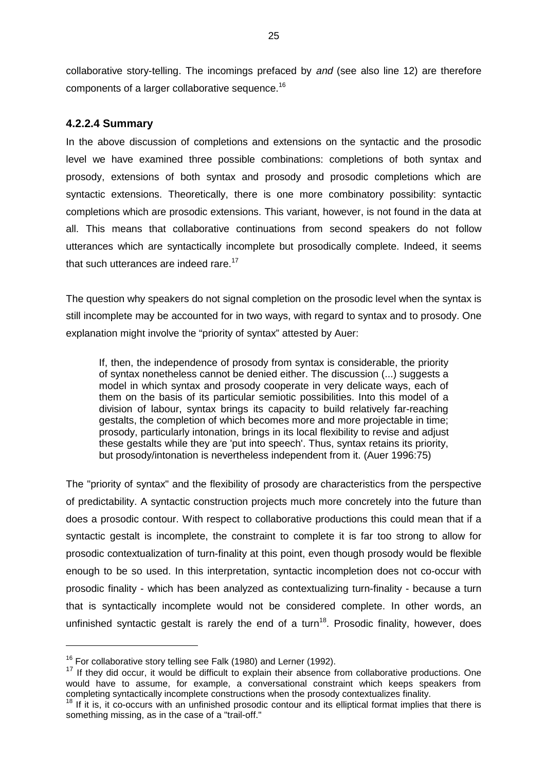collaborative story-telling. The incomings prefaced by and (see also line 12) are therefore components of a larger collaborative sequence.<sup>16</sup>

## **4.2.2.4 Summary**

In the above discussion of completions and extensions on the syntactic and the prosodic level we have examined three possible combinations: completions of both syntax and prosody, extensions of both syntax and prosody and prosodic completions which are syntactic extensions. Theoretically, there is one more combinatory possibility: syntactic completions which are prosodic extensions. This variant, however, is not found in the data at all. This means that collaborative continuations from second speakers do not follow utterances which are syntactically incomplete but prosodically complete. Indeed, it seems that such utterances are indeed rare.<sup>17</sup>

The question why speakers do not signal completion on the prosodic level when the syntax is still incomplete may be accounted for in two ways, with regard to syntax and to prosody. One explanation might involve the "priority of syntax" attested by Auer:

If, then, the independence of prosody from syntax is considerable, the priority of syntax nonetheless cannot be denied either. The discussion (...) suggests a model in which syntax and prosody cooperate in very delicate ways, each of them on the basis of its particular semiotic possibilities. Into this model of a division of labour, syntax brings its capacity to build relatively far-reaching gestalts, the completion of which becomes more and more projectable in time; prosody, particularly intonation, brings in its local flexibility to revise and adjust these gestalts while they are 'put into speech'. Thus, syntax retains its priority, but prosody/intonation is nevertheless independent from it. (Auer 1996:75)

The "priority of syntax" and the flexibility of prosody are characteristics from the perspective of predictability. A syntactic construction projects much more concretely into the future than does a prosodic contour. With respect to collaborative productions this could mean that if a syntactic gestalt is incomplete, the constraint to complete it is far too strong to allow for prosodic contextualization of turn-finality at this point, even though prosody would be flexible enough to be so used. In this interpretation, syntactic incompletion does not co-occur with prosodic finality - which has been analyzed as contextualizing turn-finality - because a turn that is syntactically incomplete would not be considered complete. In other words, an unfinished syntactic gestalt is rarely the end of a turn<sup>18</sup>. Prosodic finality, however, does

 $16$  For collaborative story telling see Falk (1980) and Lerner (1992).

<sup>&</sup>lt;sup>17</sup> If they did occur, it would be difficult to explain their absence from collaborative productions. One would have to assume, for example, a conversational constraint which keeps speakers from completing syntactically incomplete constructions when the prosody contextualizes finality.

<sup>&</sup>lt;sup>18</sup> If it is, it co-occurs with an unfinished prosodic contour and its elliptical format implies that there is something missing, as in the case of a "trail-off."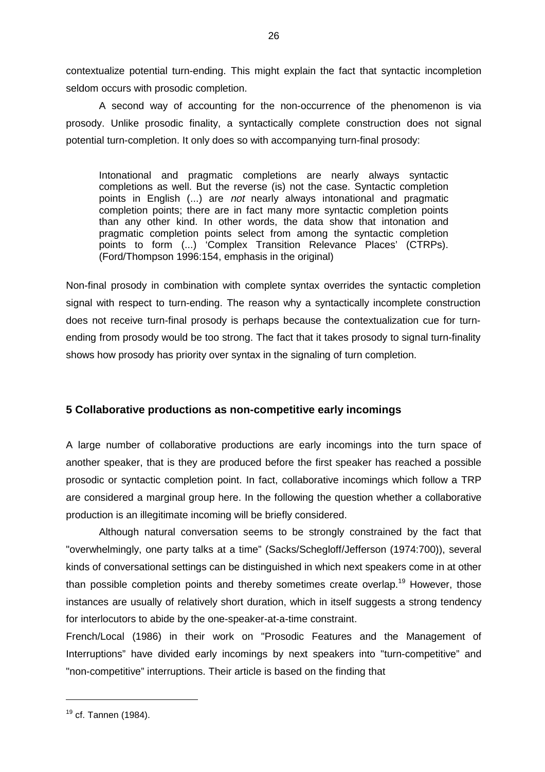contextualize potential turn-ending. This might explain the fact that syntactic incompletion seldom occurs with prosodic completion.

A second way of accounting for the non-occurrence of the phenomenon is via prosody. Unlike prosodic finality, a syntactically complete construction does not signal potential turn-completion. It only does so with accompanying turn-final prosody:

Intonational and pragmatic completions are nearly always syntactic completions as well. But the reverse (is) not the case. Syntactic completion points in English (...) are not nearly always intonational and pragmatic completion points; there are in fact many more syntactic completion points than any other kind. In other words, the data show that intonation and pragmatic completion points select from among the syntactic completion points to form (...) 'Complex Transition Relevance Places' (CTRPs). (Ford/Thompson 1996:154, emphasis in the original)

Non-final prosody in combination with complete syntax overrides the syntactic completion signal with respect to turn-ending. The reason why a syntactically incomplete construction does not receive turn-final prosody is perhaps because the contextualization cue for turnending from prosody would be too strong. The fact that it takes prosody to signal turn-finality shows how prosody has priority over syntax in the signaling of turn completion.

## **5 Collaborative productions as non-competitive early incomings**

A large number of collaborative productions are early incomings into the turn space of another speaker, that is they are produced before the first speaker has reached a possible prosodic or syntactic completion point. In fact, collaborative incomings which follow a TRP are considered a marginal group here. In the following the question whether a collaborative production is an illegitimate incoming will be briefly considered.

Although natural conversation seems to be strongly constrained by the fact that "overwhelmingly, one party talks at a time" (Sacks/Schegloff/Jefferson (1974:700)), several kinds of conversational settings can be distinguished in which next speakers come in at other than possible completion points and thereby sometimes create overlap.<sup>19</sup> However, those instances are usually of relatively short duration, which in itself suggests a strong tendency for interlocutors to abide by the one-speaker-at-a-time constraint.

French/Local (1986) in their work on "Prosodic Features and the Management of Interruptions" have divided early incomings by next speakers into "turn-competitive" and "non-competitive" interruptions. Their article is based on the finding that

 $19$  cf. Tannen (1984).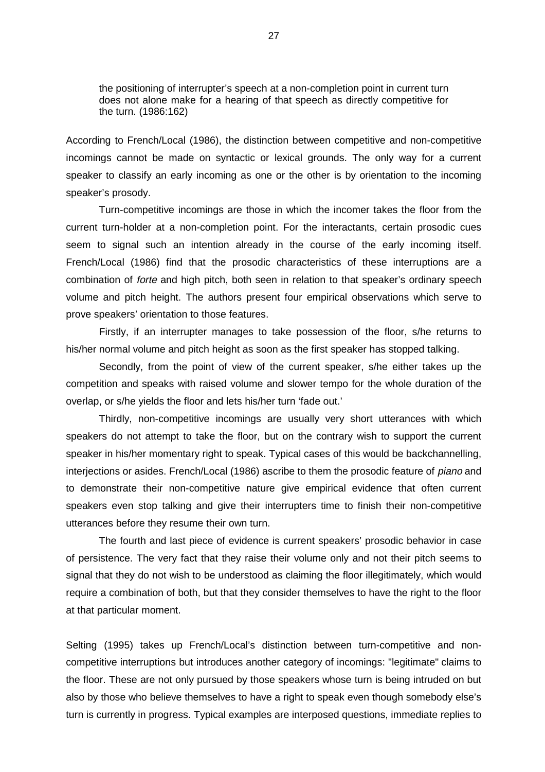the positioning of interrupter's speech at a non-completion point in current turn does not alone make for a hearing of that speech as directly competitive for the turn. (1986:162)

According to French/Local (1986), the distinction between competitive and non-competitive incomings cannot be made on syntactic or lexical grounds. The only way for a current speaker to classify an early incoming as one or the other is by orientation to the incoming speaker's prosody.

Turn-competitive incomings are those in which the incomer takes the floor from the current turn-holder at a non-completion point. For the interactants, certain prosodic cues seem to signal such an intention already in the course of the early incoming itself. French/Local (1986) find that the prosodic characteristics of these interruptions are a combination of forte and high pitch, both seen in relation to that speaker's ordinary speech volume and pitch height. The authors present four empirical observations which serve to prove speakers' orientation to those features.

Firstly, if an interrupter manages to take possession of the floor, s/he returns to his/her normal volume and pitch height as soon as the first speaker has stopped talking.

Secondly, from the point of view of the current speaker, s/he either takes up the competition and speaks with raised volume and slower tempo for the whole duration of the overlap, or s/he yields the floor and lets his/her turn 'fade out.'

Thirdly, non-competitive incomings are usually very short utterances with which speakers do not attempt to take the floor, but on the contrary wish to support the current speaker in his/her momentary right to speak. Typical cases of this would be backchannelling, interiections or asides. French/Local (1986) ascribe to them the prosodic feature of *piano* and to demonstrate their non-competitive nature give empirical evidence that often current speakers even stop talking and give their interrupters time to finish their non-competitive utterances before they resume their own turn.

The fourth and last piece of evidence is current speakers' prosodic behavior in case of persistence. The very fact that they raise their volume only and not their pitch seems to signal that they do not wish to be understood as claiming the floor illegitimately, which would require a combination of both, but that they consider themselves to have the right to the floor at that particular moment.

Selting (1995) takes up French/Local's distinction between turn-competitive and noncompetitive interruptions but introduces another category of incomings: "legitimate" claims to the floor. These are not only pursued by those speakers whose turn is being intruded on but also by those who believe themselves to have a right to speak even though somebody else's turn is currently in progress. Typical examples are interposed questions, immediate replies to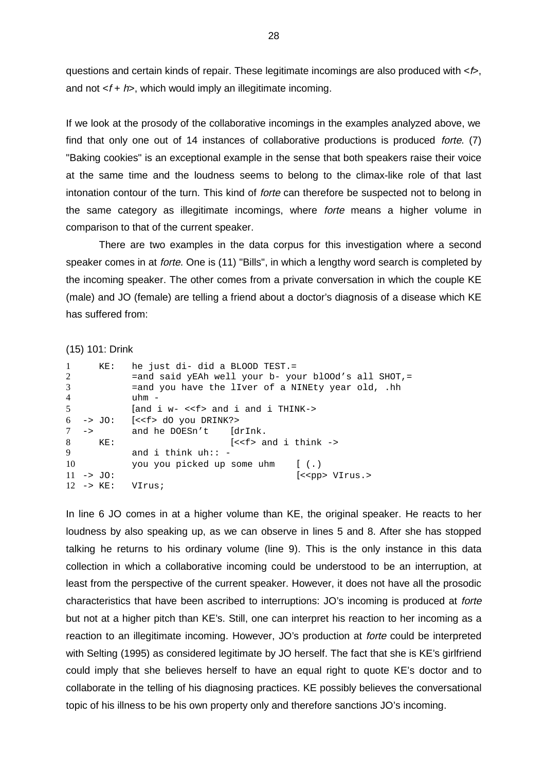questions and certain kinds of repair. These legitimate incomings are also produced with  $\lt b$ , and not  $\leq f + h$ , which would imply an illegitimate incoming.

If we look at the prosody of the collaborative incomings in the examples analyzed above, we find that only one out of 14 instances of collaborative productions is produced forte. (7) "Baking cookies" is an exceptional example in the sense that both speakers raise their voice at the same time and the loudness seems to belong to the climax-like role of that last intonation contour of the turn. This kind of forte can therefore be suspected not to belong in the same category as illegitimate incomings, where forte means a higher volume in comparison to that of the current speaker.

There are two examples in the data corpus for this investigation where a second speaker comes in at forte. One is (11) "Bills", in which a lengthy word search is completed by the incoming speaker. The other comes from a private conversation in which the couple KE (male) and JO (female) are telling a friend about a doctor's diagnosis of a disease which KE has suffered from:

(15) 101: Drink

| $\mathbf{1}$<br>2<br>3<br>$\overline{4}$<br>5 | KE:                          | he just di- did a BLOOD TEST.=<br>$=$ and said yEAh well your b- your blOOd's all SHOT,=<br>=and you have the liver of a NINEty year old, .hh<br>$uhm -$<br>$ $ and i $w-$ << f> and i and i THINK-> |                                                                   |                         |
|-----------------------------------------------|------------------------------|------------------------------------------------------------------------------------------------------------------------------------------------------------------------------------------------------|-------------------------------------------------------------------|-------------------------|
|                                               |                              |                                                                                                                                                                                                      |                                                                   |                         |
|                                               |                              | $6 \rightarrow$ JO: $\left[ \text{<<} f \text{> d}0 \text{ you DRINK?} \right]$                                                                                                                      |                                                                   |                         |
| $7 \rightarrow$                               |                              | and he DOESn't [drInk.                                                                                                                                                                               |                                                                   |                         |
| 8                                             | $\texttt{KE}$ :              |                                                                                                                                                                                                      | $\left[ \text{<} \text{ and } i \text{ think } \text{->} \right]$ |                         |
| 9                                             |                              | and i think $uh: -$                                                                                                                                                                                  |                                                                   |                         |
| 10                                            |                              | you you picked up some uhm [(.)                                                                                                                                                                      |                                                                   |                         |
|                                               | $11 - > J0$ :                |                                                                                                                                                                                                      |                                                                   | (< <pp> VIrus.&gt;</pp> |
|                                               | $12 \rightarrow \text{KE}$ : | VIrus;                                                                                                                                                                                               |                                                                   |                         |

In line 6 JO comes in at a higher volume than KE, the original speaker. He reacts to her loudness by also speaking up, as we can observe in lines 5 and 8. After she has stopped talking he returns to his ordinary volume (line 9). This is the only instance in this data collection in which a collaborative incoming could be understood to be an interruption, at least from the perspective of the current speaker. However, it does not have all the prosodic characteristics that have been ascribed to interruptions: JO's incoming is produced at forte but not at a higher pitch than KE's. Still, one can interpret his reaction to her incoming as a reaction to an illegitimate incoming. However, JO's production at forte could be interpreted with Selting (1995) as considered legitimate by JO herself. The fact that she is KE's girlfriend could imply that she believes herself to have an equal right to quote KE's doctor and to collaborate in the telling of his diagnosing practices. KE possibly believes the conversational topic of his illness to be his own property only and therefore sanctions JO's incoming.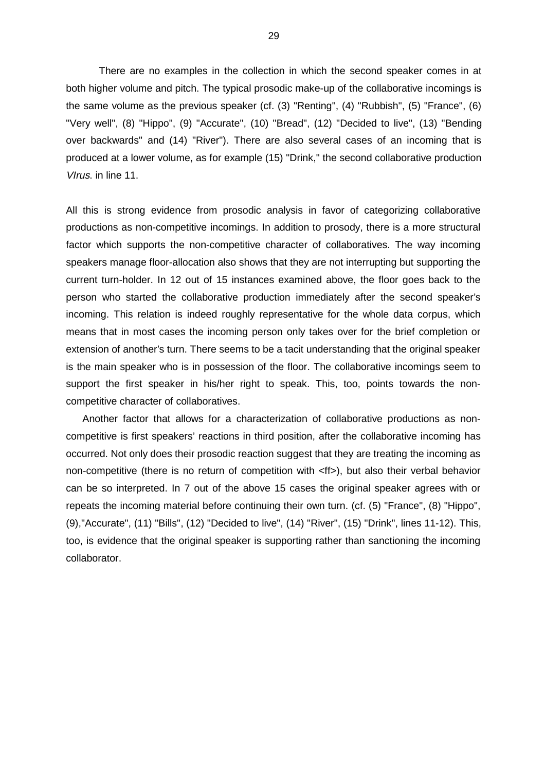There are no examples in the collection in which the second speaker comes in at both higher volume and pitch. The typical prosodic make-up of the collaborative incomings is the same volume as the previous speaker (cf. (3) "Renting", (4) "Rubbish", (5) "France", (6) "Very well", (8) "Hippo", (9) "Accurate", (10) "Bread", (12) "Decided to live", (13) "Bending over backwards" and (14) "River"). There are also several cases of an incoming that is produced at a lower volume, as for example (15) "Drink," the second collaborative production VIrus. in line 11.

All this is strong evidence from prosodic analysis in favor of categorizing collaborative productions as non-competitive incomings. In addition to prosody, there is a more structural factor which supports the non-competitive character of collaboratives. The way incoming speakers manage floor-allocation also shows that they are not interrupting but supporting the current turn-holder. In 12 out of 15 instances examined above, the floor goes back to the person who started the collaborative production immediately after the second speaker's incoming. This relation is indeed roughly representative for the whole data corpus, which means that in most cases the incoming person only takes over for the brief completion or extension of another's turn. There seems to be a tacit understanding that the original speaker is the main speaker who is in possession of the floor. The collaborative incomings seem to support the first speaker in his/her right to speak. This, too, points towards the noncompetitive character of collaboratives.

Another factor that allows for a characterization of collaborative productions as noncompetitive is first speakers' reactions in third position, after the collaborative incoming has occurred. Not only does their prosodic reaction suggest that they are treating the incoming as non-competitive (there is no return of competition with <ff>), but also their verbal behavior can be so interpreted. In 7 out of the above 15 cases the original speaker agrees with or repeats the incoming material before continuing their own turn. (cf. (5) "France", (8) "Hippo", (9),"Accurate", (11) "Bills", (12) "Decided to live", (14) "River", (15) "Drink", lines 11-12). This, too, is evidence that the original speaker is supporting rather than sanctioning the incoming collaborator.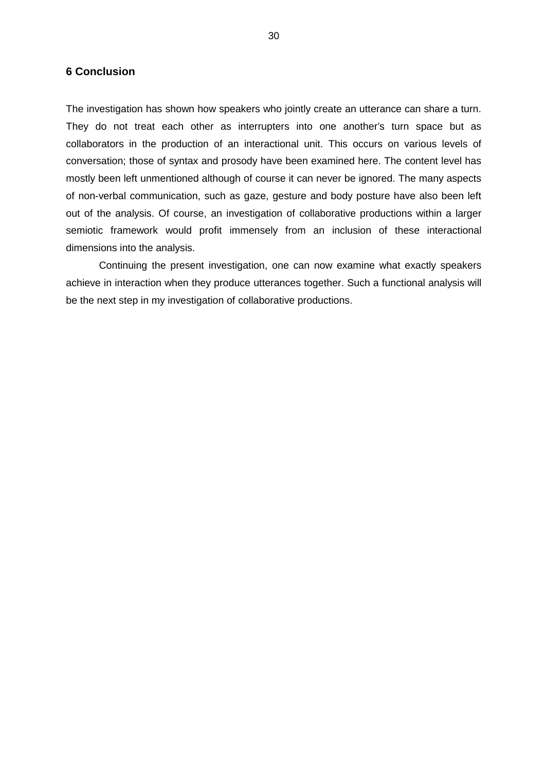#### **6 Conclusion**

The investigation has shown how speakers who jointly create an utterance can share a turn. They do not treat each other as interrupters into one another's turn space but as collaborators in the production of an interactional unit. This occurs on various levels of conversation; those of syntax and prosody have been examined here. The content level has mostly been left unmentioned although of course it can never be ignored. The many aspects of non-verbal communication, such as gaze, gesture and body posture have also been left out of the analysis. Of course, an investigation of collaborative productions within a larger semiotic framework would profit immensely from an inclusion of these interactional dimensions into the analysis.

Continuing the present investigation, one can now examine what exactly speakers achieve in interaction when they produce utterances together. Such a functional analysis will be the next step in my investigation of collaborative productions.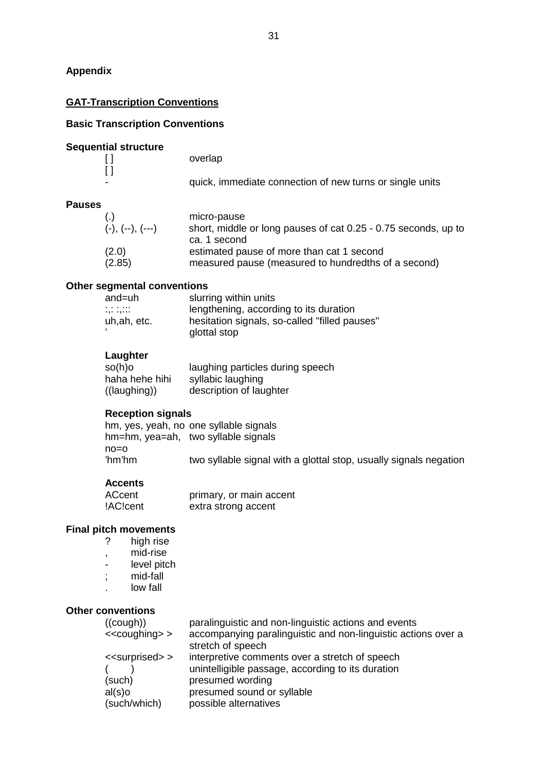## **Appendix**

## **GAT-Transcription Conventions**

## **Basic Transcription Conventions**

### **Sequential structure**

|   | overlap                                                  |
|---|----------------------------------------------------------|
|   |                                                          |
| - | quick, immediate connection of new turns or single units |

#### **Pauses**

| $(-), (-), (--)$ | micro-pause<br>short, middle or long pauses of cat 0.25 - 0.75 seconds, up to<br>ca. 1 second |
|------------------|-----------------------------------------------------------------------------------------------|
| (2.0)            | estimated pause of more than cat 1 second                                                     |
| (2.85)           | measured pause (measured to hundredths of a second)                                           |

#### **Other segmental conventions**

| and=uh       | slurring within units                         |
|--------------|-----------------------------------------------|
| <br>         | lengthening, according to its duration        |
| uh, ah, etc. | hesitation signals, so-called "filled pauses" |
|              | glottal stop                                  |

#### **Laughter**

| $so(h)$ o             | laughing particles during speech |
|-----------------------|----------------------------------|
| haha hehe hihi        | syllabic laughing                |
| $((\text{laughing}))$ | description of laughter          |

#### **Reception signals**

|                | hm, yes, yeah, no one syllable signals<br>hm=hm, yea=ah, two syllable signals |                                                                   |
|----------------|-------------------------------------------------------------------------------|-------------------------------------------------------------------|
| no=o<br>'hm'hm |                                                                               | two syllable signal with a glottal stop, usually signals negation |
|                |                                                                               |                                                                   |

#### **Accents**

| ACcent   | primary, or main accent |
|----------|-------------------------|
| !AC!cent | extra strong accent     |

# **Final pitch movements**<br> **P** high rise

- high rise
- , mid-rise
- level pitch
- ; mid-fall
- . low fall

## **Other conventions**

| ((cough))<br>$\leq$ coughing $>$         | paralinguistic and non-linguistic actions and events<br>accompanying paralinguistic and non-linguistic actions over a<br>stretch of speech |
|------------------------------------------|--------------------------------------------------------------------------------------------------------------------------------------------|
| < <surprised>&gt;<br/>(such)</surprised> | interpretive comments over a stretch of speech<br>unintelligible passage, according to its duration<br>presumed wording                    |
| $al(s)$ o<br>(such/which)                | presumed sound or syllable<br>possible alternatives                                                                                        |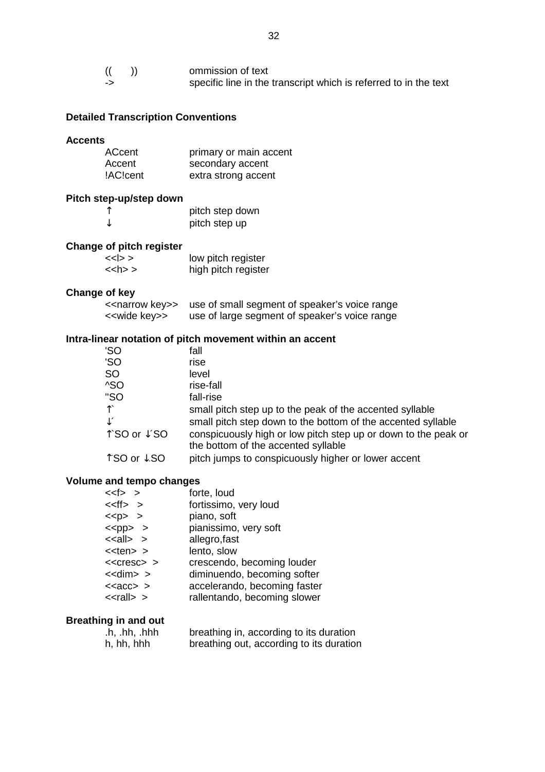| ommission of text                                                |
|------------------------------------------------------------------|
| specific line in the transcript which is referred to in the text |

## **Detailed Transcription Conventions**

#### **Accents**

| ACcent   | primary or main accent |
|----------|------------------------|
| Accent   | secondary accent       |
| !AC!cent | extra strong accent    |

## **Pitch step-up/step down**

|   | pitch step down |
|---|-----------------|
| ↓ | pitch step up   |

## **Change of pitch register**

| $<<$ $>$      | low pitch register  |
|---------------|---------------------|
| $\langle$ h>> | high pitch register |

## **Change of key**

| < <narrow key="">&gt;</narrow> | use of small segment of speaker's voice range |
|--------------------------------|-----------------------------------------------|
| < <wide key="">&gt;</wide>     | use of large segment of speaker's voice range |

#### **Intra-linear notation of pitch movement within an accent**

| 'SO            | fall                                                                                                  |
|----------------|-------------------------------------------------------------------------------------------------------|
| 'SO            | rise                                                                                                  |
| <b>SO</b>      | level                                                                                                 |
| ^SO            | rise-fall                                                                                             |
| "SO            | fall-rise                                                                                             |
| ↑              | small pitch step up to the peak of the accented syllable                                              |
| $\downarrow$ ' | small pitch step down to the bottom of the accented syllable                                          |
| ↑`SO or ↓´SO   | conspicuously high or low pitch step up or down to the peak or<br>the bottom of the accented syllable |
| ↑ SO or ↓ SO   | pitch jumps to conspicuously higher or lower accent                                                   |
|                |                                                                                                       |

#### **Volume and tempo changes**

| $<<$ >                | forte, loud                  |
|-----------------------|------------------------------|
| $\lt$ $\lt$ ff> $\gt$ | fortissimo, very loud        |
| $<$ p> >              | piano, soft                  |
| $<$ pp> >             | pianissimo, very soft        |
| $\le$ all $>$ >       | allegro, fast                |
| $<$ ten $>$           | lento, slow                  |
| $<<$ Cresc $>$ $>$    | crescendo, becoming louder   |
| $<<$ dim $>$ >        | diminuendo, becoming softer  |
| $\text{ >$            | accelerando, becoming faster |
| $<<$ rall $>$ >       | rallentando, becoming slower |

#### **Breathing in and out**

| $\cdot$ h, $\cdot$ hh, $\cdot$ hhh | breathing in, according to its duration  |
|------------------------------------|------------------------------------------|
| h, hh, hhh                         | breathing out, according to its duration |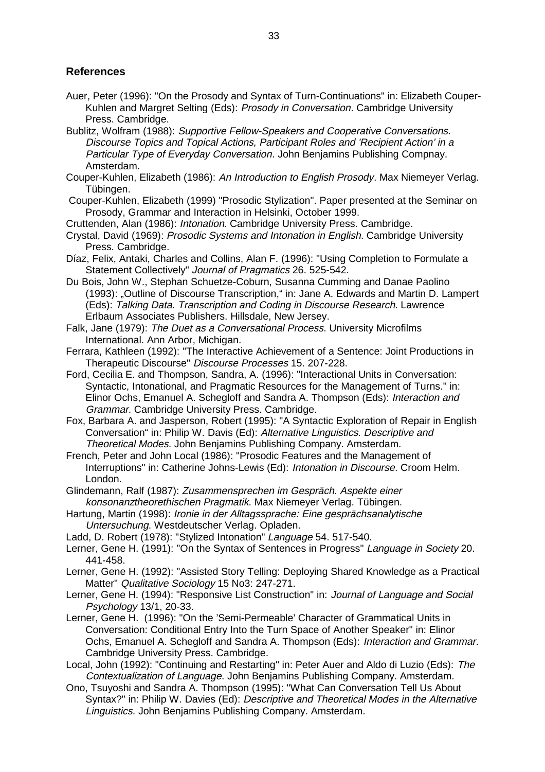## **References**

- Auer, Peter (1996): "On the Prosody and Syntax of Turn-Continuations" in: Elizabeth Couper-Kuhlen and Margret Selting (Eds): Prosody in Conversation. Cambridge University Press. Cambridge.
- Bublitz, Wolfram (1988): Supportive Fellow-Speakers and Cooperative Conversations. Discourse Topics and Topical Actions, Participant Roles and 'Recipient Action' in a Particular Type of Everyday Conversation. John Benjamins Publishing Compnay. Amsterdam.
- Couper-Kuhlen, Elizabeth (1986): An Introduction to English Prosody. Max Niemeyer Verlag. Tübingen.
- Couper-Kuhlen, Elizabeth (1999) "Prosodic Stylization". Paper presented at the Seminar on Prosody, Grammar and Interaction in Helsinki, October 1999.
- Cruttenden, Alan (1986): Intonation. Cambridge University Press. Cambridge.
- Crystal, David (1969): Prosodic Systems and Intonation in English. Cambridge University Press. Cambridge.
- Díaz, Felix, Antaki, Charles and Collins, Alan F. (1996): "Using Completion to Formulate a Statement Collectively" Journal of Pragmatics 26. 525-542.
- Du Bois, John W., Stephan Schuetze-Coburn, Susanna Cumming and Danae Paolino (1993): "Outline of Discourse Transcription," in: Jane A. Edwards and Martin D. Lampert (Eds): Talking Data. Transcription and Coding in Discourse Research. Lawrence Erlbaum Associates Publishers. Hillsdale, New Jersey.
- Falk, Jane (1979): The Duet as a Conversational Process. University Microfilms International. Ann Arbor, Michigan.
- Ferrara, Kathleen (1992): "The Interactive Achievement of a Sentence: Joint Productions in Therapeutic Discourse" Discourse Processes 15. 207-228.
- Ford, Cecilia E. and Thompson, Sandra, A. (1996): "Interactional Units in Conversation: Syntactic, Intonational, and Pragmatic Resources for the Management of Turns." in: Elinor Ochs, Emanuel A. Schegloff and Sandra A. Thompson (Eds): Interaction and Grammar. Cambridge University Press. Cambridge.
- Fox, Barbara A. and Jasperson, Robert (1995): "A Syntactic Exploration of Repair in English Conversation" in: Philip W. Davis (Ed): Alternative Linguistics. Descriptive and Theoretical Modes. John Benjamins Publishing Company. Amsterdam.
- French, Peter and John Local (1986): "Prosodic Features and the Management of Interruptions" in: Catherine Johns-Lewis (Ed): Intonation in Discourse. Croom Helm. London.
- Glindemann, Ralf (1987): Zusammensprechen im Gespräch. Aspekte einer konsonanztheorethischen Pragmatik. Max Niemeyer Verlag. Tübingen.
- Hartung, Martin (1998): Ironie in der Alltagssprache: Eine gesprächsanalytische Untersuchung. Westdeutscher Verlag. Opladen.
- Ladd, D. Robert (1978): "Stylized Intonation" Language 54. 517-540.
- Lerner, Gene H. (1991): "On the Syntax of Sentences in Progress" Language in Society 20. 441-458.
- Lerner, Gene H. (1992): "Assisted Story Telling: Deploying Shared Knowledge as a Practical Matter" Qualitative Sociology 15 No3: 247-271.
- Lerner, Gene H. (1994): "Responsive List Construction" in: Journal of Language and Social Psychology 13/1, 20-33.
- Lerner, Gene H. (1996): "On the 'Semi-Permeable' Character of Grammatical Units in Conversation: Conditional Entry Into the Turn Space of Another Speaker" in: Elinor Ochs, Emanuel A. Schegloff and Sandra A. Thompson (Eds): Interaction and Grammar. Cambridge University Press. Cambridge.
- Local, John (1992): "Continuing and Restarting" in: Peter Auer and Aldo di Luzio (Eds): The Contextualization of Language. John Benjamins Publishing Company. Amsterdam.
- Ono, Tsuyoshi and Sandra A. Thompson (1995): "What Can Conversation Tell Us About Syntax?" in: Philip W. Davies (Ed): Descriptive and Theoretical Modes in the Alternative Linguistics. John Benjamins Publishing Company. Amsterdam.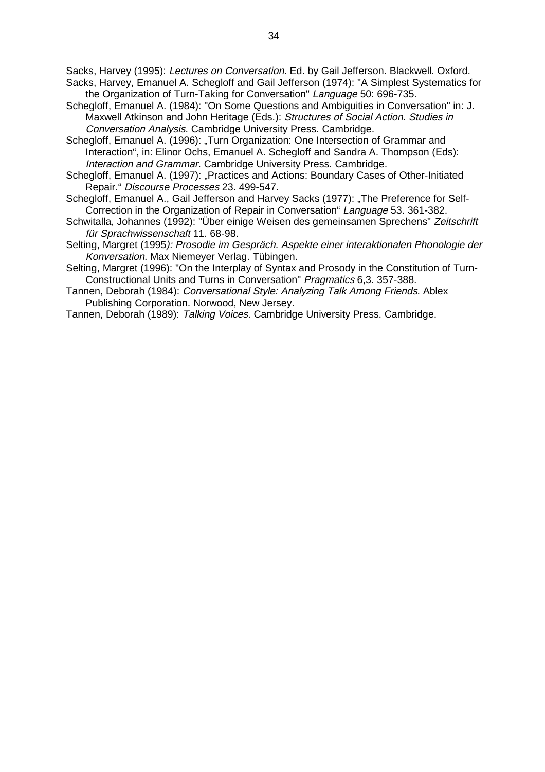Sacks, Harvey (1995): Lectures on Conversation. Ed. by Gail Jefferson. Blackwell. Oxford. Sacks, Harvey, Emanuel A. Schegloff and Gail Jefferson (1974): "A Simplest Systematics for

- the Organization of Turn-Taking for Conversation" Language 50: 696-735.
- Schegloff, Emanuel A. (1984): "On Some Questions and Ambiguities in Conversation" in: J. Maxwell Atkinson and John Heritage (Eds.): Structures of Social Action. Studies in Conversation Analysis. Cambridge University Press. Cambridge.
- Schegloff, Emanuel A. (1996): "Turn Organization: One Intersection of Grammar and Interaction", in: Elinor Ochs, Emanuel A. Schegloff and Sandra A. Thompson (Eds): Interaction and Grammar. Cambridge University Press. Cambridge.
- Schegloff, Emanuel A. (1997): "Practices and Actions: Boundary Cases of Other-Initiated Repair." Discourse Processes 23. 499-547.
- Schegloff, Emanuel A., Gail Jefferson and Harvey Sacks (1977): "The Preference for Self-Correction in the Organization of Repair in Conversation" Language 53. 361-382.
- Schwitalla, Johannes (1992): "Über einige Weisen des gemeinsamen Sprechens" Zeitschrift für Sprachwissenschaft 11. 68-98.
- Selting, Margret (1995): Prosodie im Gespräch. Aspekte einer interaktionalen Phonologie der Konversation. Max Niemeyer Verlag. Tübingen.
- Selting, Margret (1996): "On the Interplay of Syntax and Prosody in the Constitution of Turn-Constructional Units and Turns in Conversation" Pragmatics 6,3. 357-388.
- Tannen, Deborah (1984): Conversational Style: Analyzing Talk Among Friends. Ablex Publishing Corporation. Norwood, New Jersey.
- Tannen, Deborah (1989): Talking Voices. Cambridge University Press. Cambridge.